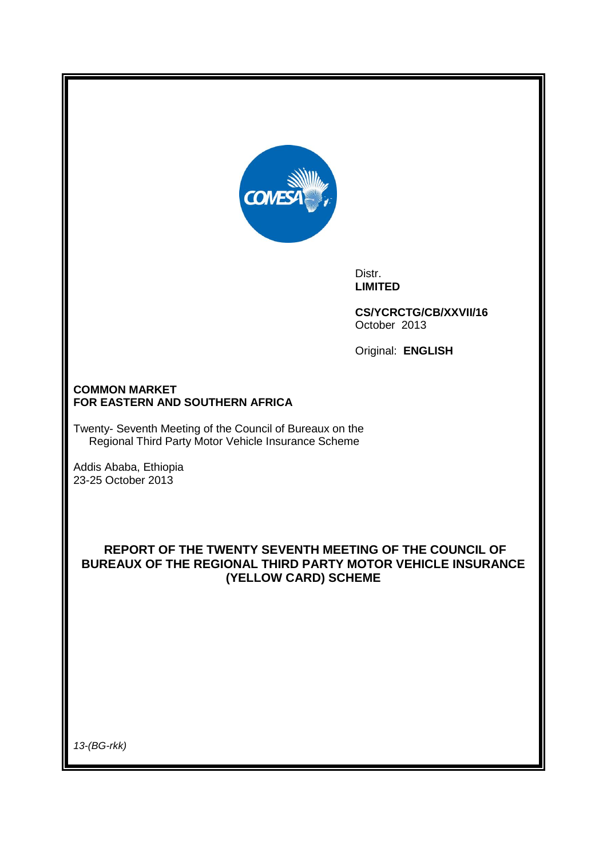

Distr. **LIMITED**

**CS/YCRCTG/CB/XXVII/16** October 2013

Original: **ENGLISH**

## **COMMON MARKET FOR EASTERN AND SOUTHERN AFRICA**

Twenty- Seventh Meeting of the Council of Bureaux on the Regional Third Party Motor Vehicle Insurance Scheme

Addis Ababa, Ethiopia 23-25 October 2013

# **REPORT OF THE TWENTY SEVENTH MEETING OF THE COUNCIL OF BUREAUX OF THE REGIONAL THIRD PARTY MOTOR VEHICLE INSURANCE (YELLOW CARD) SCHEME**

*13-(BG-rkk)*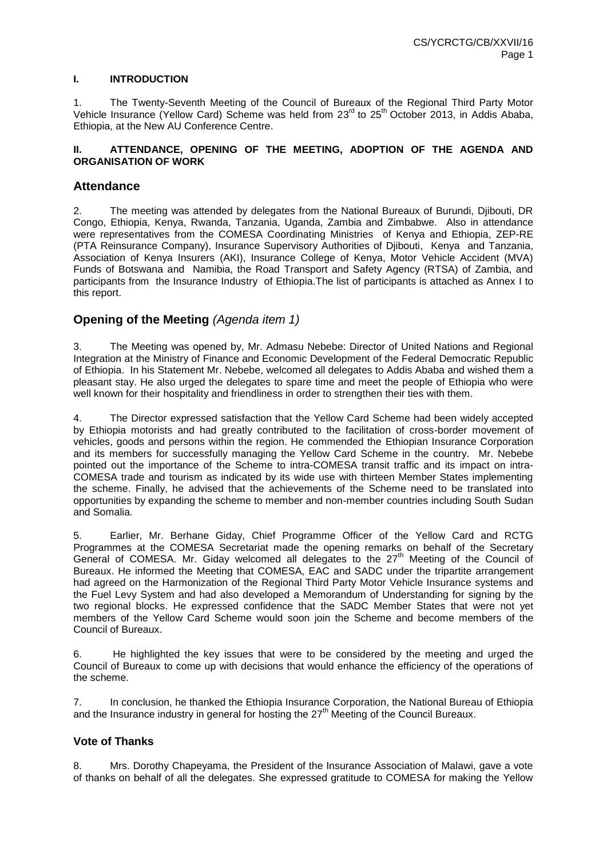#### **I. INTRODUCTION**

1. The Twenty-Seventh Meeting of the Council of Bureaux of the Regional Third Party Motor Vehicle Insurance (Yellow Card) Scheme was held from 23<sup>rd</sup> to 25<sup>th</sup> October 2013, in Addis Ababa, Ethiopia, at the New AU Conference Centre.

#### **II. ATTENDANCE, OPENING OF THE MEETING, ADOPTION OF THE AGENDA AND ORGANISATION OF WORK**

## **Attendance**

2. The meeting was attended by delegates from the National Bureaux of Burundi, Djibouti, DR Congo, Ethiopia, Kenya, Rwanda, Tanzania, Uganda, Zambia and Zimbabwe. Also in attendance were representatives from the COMESA Coordinating Ministries of Kenya and Ethiopia, ZEP-RE (PTA Reinsurance Company), Insurance Supervisory Authorities of Djibouti, Kenya and Tanzania, Association of Kenya Insurers (AKI), Insurance College of Kenya, Motor Vehicle Accident (MVA) Funds of Botswana and Namibia, the Road Transport and Safety Agency (RTSA) of Zambia, and participants from the Insurance Industry of Ethiopia.The list of participants is attached as Annex I to this report.

# **Opening of the Meeting** *(Agenda item 1)*

3. The Meeting was opened by, Mr. Admasu Nebebe: Director of United Nations and Regional Integration at the Ministry of Finance and Economic Development of the Federal Democratic Republic of Ethiopia. In his Statement Mr. Nebebe, welcomed all delegates to Addis Ababa and wished them a pleasant stay. He also urged the delegates to spare time and meet the people of Ethiopia who were well known for their hospitality and friendliness in order to strengthen their ties with them.

4. The Director expressed satisfaction that the Yellow Card Scheme had been widely accepted by Ethiopia motorists and had greatly contributed to the facilitation of cross-border movement of vehicles, goods and persons within the region. He commended the Ethiopian Insurance Corporation and its members for successfully managing the Yellow Card Scheme in the country. Mr. Nebebe pointed out the importance of the Scheme to intra-COMESA transit traffic and its impact on intra-COMESA trade and tourism as indicated by its wide use with thirteen Member States implementing the scheme. Finally, he advised that the achievements of the Scheme need to be translated into opportunities by expanding the scheme to member and non-member countries including South Sudan and Somalia.

5. Earlier, Mr. Berhane Giday, Chief Programme Officer of the Yellow Card and RCTG Programmes at the COMESA Secretariat made the opening remarks on behalf of the Secretary General of COMESA. Mr. Giday welcomed all delegates to the  $27<sup>th</sup>$  Meeting of the Council of Bureaux. He informed the Meeting that COMESA, EAC and SADC under the tripartite arrangement had agreed on the Harmonization of the Regional Third Party Motor Vehicle Insurance systems and the Fuel Levy System and had also developed a Memorandum of Understanding for signing by the two regional blocks. He expressed confidence that the SADC Member States that were not yet members of the Yellow Card Scheme would soon join the Scheme and become members of the Council of Bureaux.

6. He highlighted the key issues that were to be considered by the meeting and urged the Council of Bureaux to come up with decisions that would enhance the efficiency of the operations of the scheme.

7. In conclusion, he thanked the Ethiopia Insurance Corporation, the National Bureau of Ethiopia and the Insurance industry in general for hosting the  $27<sup>th</sup>$  Meeting of the Council Bureaux.

## **Vote of Thanks**

8. Mrs. Dorothy Chapeyama, the President of the Insurance Association of Malawi, gave a vote of thanks on behalf of all the delegates. She expressed gratitude to COMESA for making the Yellow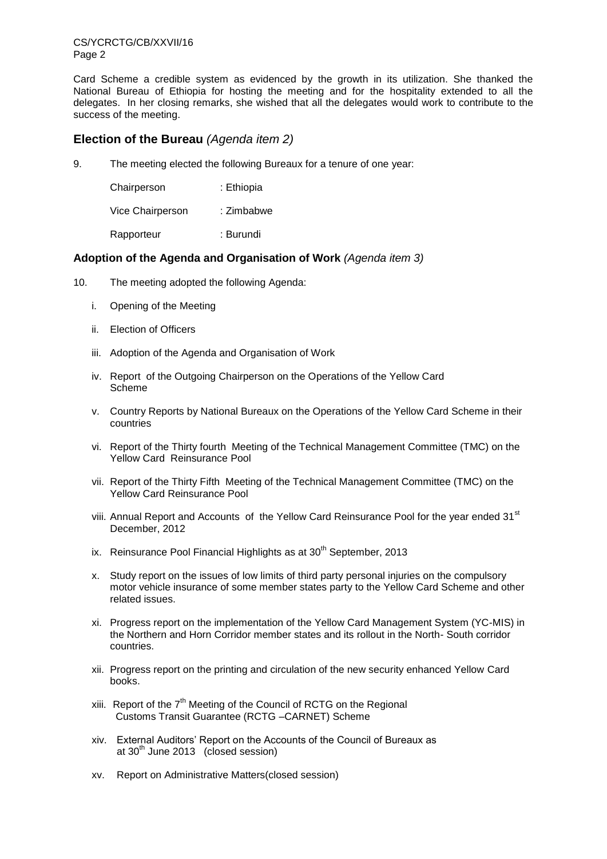CS/YCRCTG/CB/XXVII/16 Page 2

Card Scheme a credible system as evidenced by the growth in its utilization. She thanked the National Bureau of Ethiopia for hosting the meeting and for the hospitality extended to all the delegates. In her closing remarks, she wished that all the delegates would work to contribute to the success of the meeting.

# **Election of the Bureau** *(Agenda item 2)*

9. The meeting elected the following Bureaux for a tenure of one year:

| Chairperson      | : Ethiopia |
|------------------|------------|
| Vice Chairperson | : Zimbabwe |
| Rapporteur       | : Burundi  |

## **Adoption of the Agenda and Organisation of Work** *(Agenda item 3)*

- 10. The meeting adopted the following Agenda:
	- i. Opening of the Meeting
	- ii. Election of Officers
	- iii. Adoption of the Agenda and Organisation of Work
	- iv. Report of the Outgoing Chairperson on the Operations of the Yellow Card Scheme
	- v. Country Reports by National Bureaux on the Operations of the Yellow Card Scheme in their countries
	- vi. Report of the Thirty fourth Meeting of the Technical Management Committee (TMC) on the Yellow Card Reinsurance Pool
	- vii. Report of the Thirty Fifth Meeting of the Technical Management Committee (TMC) on the Yellow Card Reinsurance Pool
	- viii. Annual Report and Accounts of the Yellow Card Reinsurance Pool for the year ended 31<sup>st</sup> December, 2012
	- ix. Reinsurance Pool Financial Highlights as at  $30<sup>th</sup>$  September, 2013
	- x. Study report on the issues of low limits of third party personal injuries on the compulsory motor vehicle insurance of some member states party to the Yellow Card Scheme and other related issues.
	- xi. Progress report on the implementation of the Yellow Card Management System (YC-MIS) in the Northern and Horn Corridor member states and its rollout in the North- South corridor countries.
	- xii. Progress report on the printing and circulation of the new security enhanced Yellow Card books.
	- xiii. Report of the  $7<sup>th</sup>$  Meeting of the Council of RCTG on the Regional Customs Transit Guarantee (RCTG –CARNET) Scheme
	- xiv. External Auditors' Report on the Accounts of the Council of Bureaux as at  $30<sup>th</sup>$  June 2013 (closed session)
	- xv. Report on Administrative Matters(closed session)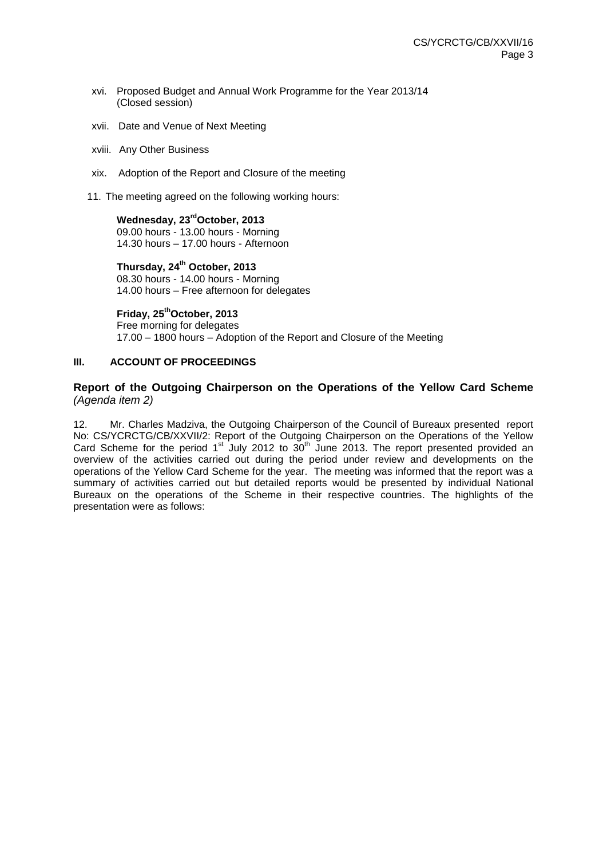- xvi. Proposed Budget and Annual Work Programme for the Year 2013/14 (Closed session)
- xvii. Date and Venue of Next Meeting
- xviii. Any Other Business
- xix. Adoption of the Report and Closure of the meeting
- 11. The meeting agreed on the following working hours:

**Wednesday, 23 rdOctober, 2013** 09.00 hours - 13.00 hours - Morning 14.30 hours – 17.00 hours - Afternoon

**Thursday, 24th October, 2013** 08.30 hours - 14.00 hours - Morning 14.00 hours – Free afternoon for delegates

**Friday, 25thOctober, 2013**

Free morning for delegates 17.00 – 1800 hours – Adoption of the Report and Closure of the Meeting

## **III. ACCOUNT OF PROCEEDINGS**

## **Report of the Outgoing Chairperson on the Operations of the Yellow Card Scheme**  *(Agenda item 2)*

12. Mr. Charles Madziva, the Outgoing Chairperson of the Council of Bureaux presented report No: CS/YCRCTG/CB/XXVII/2: Report of the Outgoing Chairperson on the Operations of the Yellow Card Scheme for the period  $1<sup>st</sup>$  July 2012 to  $30<sup>th</sup>$  June 2013. The report presented provided an overview of the activities carried out during the period under review and developments on the operations of the Yellow Card Scheme for the year. The meeting was informed that the report was a summary of activities carried out but detailed reports would be presented by individual National Bureaux on the operations of the Scheme in their respective countries. The highlights of the presentation were as follows: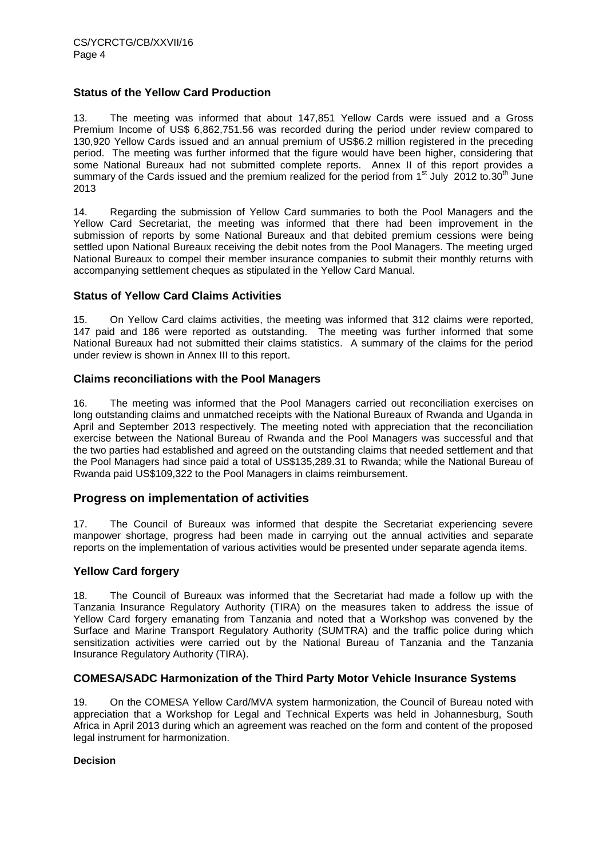## **Status of the Yellow Card Production**

13. The meeting was informed that about 147,851 Yellow Cards were issued and a Gross Premium Income of US\$ 6,862,751.56 was recorded during the period under review compared to 130,920 Yellow Cards issued and an annual premium of US\$6.2 million registered in the preceding period. The meeting was further informed that the figure would have been higher, considering that some National Bureaux had not submitted complete reports. Annex II of this report provides a summary of the Cards issued and the premium realized for the period from 1<sup>st</sup> July 2012 to.30<sup>th</sup> June 2013

14. Regarding the submission of Yellow Card summaries to both the Pool Managers and the Yellow Card Secretariat, the meeting was informed that there had been improvement in the submission of reports by some National Bureaux and that debited premium cessions were being settled upon National Bureaux receiving the debit notes from the Pool Managers. The meeting urged National Bureaux to compel their member insurance companies to submit their monthly returns with accompanying settlement cheques as stipulated in the Yellow Card Manual.

## **Status of Yellow Card Claims Activities**

15. On Yellow Card claims activities, the meeting was informed that 312 claims were reported, 147 paid and 186 were reported as outstanding. The meeting was further informed that some National Bureaux had not submitted their claims statistics. A summary of the claims for the period under review is shown in Annex III to this report.

## **Claims reconciliations with the Pool Managers**

16. The meeting was informed that the Pool Managers carried out reconciliation exercises on long outstanding claims and unmatched receipts with the National Bureaux of Rwanda and Uganda in April and September 2013 respectively. The meeting noted with appreciation that the reconciliation exercise between the National Bureau of Rwanda and the Pool Managers was successful and that the two parties had established and agreed on the outstanding claims that needed settlement and that the Pool Managers had since paid a total of US\$135,289.31 to Rwanda; while the National Bureau of Rwanda paid US\$109,322 to the Pool Managers in claims reimbursement.

# **Progress on implementation of activities**

17. The Council of Bureaux was informed that despite the Secretariat experiencing severe manpower shortage, progress had been made in carrying out the annual activities and separate reports on the implementation of various activities would be presented under separate agenda items.

## **Yellow Card forgery**

18. The Council of Bureaux was informed that the Secretariat had made a follow up with the Tanzania Insurance Regulatory Authority (TIRA) on the measures taken to address the issue of Yellow Card forgery emanating from Tanzania and noted that a Workshop was convened by the Surface and Marine Transport Regulatory Authority (SUMTRA) and the traffic police during which sensitization activities were carried out by the National Bureau of Tanzania and the Tanzania Insurance Regulatory Authority (TIRA).

## **COMESA/SADC Harmonization of the Third Party Motor Vehicle Insurance Systems**

19. On the COMESA Yellow Card/MVA system harmonization, the Council of Bureau noted with appreciation that a Workshop for Legal and Technical Experts was held in Johannesburg, South Africa in April 2013 during which an agreement was reached on the form and content of the proposed legal instrument for harmonization.

## **Decision**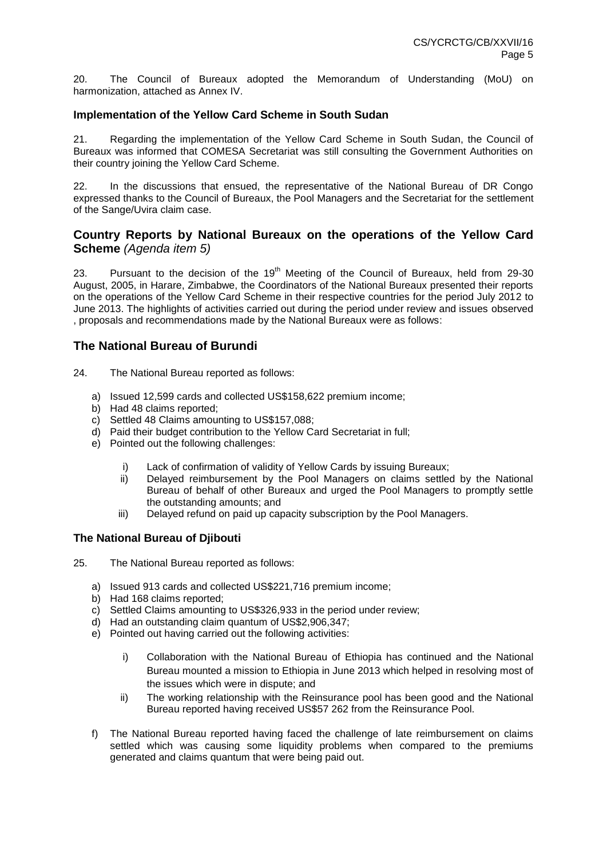20. The Council of Bureaux adopted the Memorandum of Understanding (MoU) on harmonization, attached as Annex IV.

## **Implementation of the Yellow Card Scheme in South Sudan**

21. Regarding the implementation of the Yellow Card Scheme in South Sudan, the Council of Bureaux was informed that COMESA Secretariat was still consulting the Government Authorities on their country joining the Yellow Card Scheme.

22. In the discussions that ensued, the representative of the National Bureau of DR Congo expressed thanks to the Council of Bureaux, the Pool Managers and the Secretariat for the settlement of the Sange/Uvira claim case.

# **Country Reports by National Bureaux on the operations of the Yellow Card Scheme** *(Agenda item 5)*

23. Pursuant to the decision of the  $19<sup>th</sup>$  Meeting of the Council of Bureaux, held from 29-30 August, 2005, in Harare, Zimbabwe, the Coordinators of the National Bureaux presented their reports on the operations of the Yellow Card Scheme in their respective countries for the period July 2012 to June 2013. The highlights of activities carried out during the period under review and issues observed , proposals and recommendations made by the National Bureaux were as follows:

# **The National Bureau of Burundi**

- 24. The National Bureau reported as follows:
	- a) Issued 12,599 cards and collected US\$158,622 premium income;
	- b) Had 48 claims reported;
	- c) Settled 48 Claims amounting to US\$157,088;
	- d) Paid their budget contribution to the Yellow Card Secretariat in full;
	- e) Pointed out the following challenges:
		- i) Lack of confirmation of validity of Yellow Cards by issuing Bureaux;
		- ii) Delayed reimbursement by the Pool Managers on claims settled by the National Bureau of behalf of other Bureaux and urged the Pool Managers to promptly settle the outstanding amounts; and
		- iii) Delayed refund on paid up capacity subscription by the Pool Managers.

## **The National Bureau of Djibouti**

25. The National Bureau reported as follows:

- a) Issued 913 cards and collected US\$221,716 premium income;
- b) Had 168 claims reported;
- c) Settled Claims amounting to US\$326,933 in the period under review;
- d) Had an outstanding claim quantum of US\$2,906,347;
- e) Pointed out having carried out the following activities:
	- i) Collaboration with the National Bureau of Ethiopia has continued and the National Bureau mounted a mission to Ethiopia in June 2013 which helped in resolving most of the issues which were in dispute; and
	- ii) The working relationship with the Reinsurance pool has been good and the National Bureau reported having received US\$57 262 from the Reinsurance Pool.
- f) The National Bureau reported having faced the challenge of late reimbursement on claims settled which was causing some liquidity problems when compared to the premiums generated and claims quantum that were being paid out.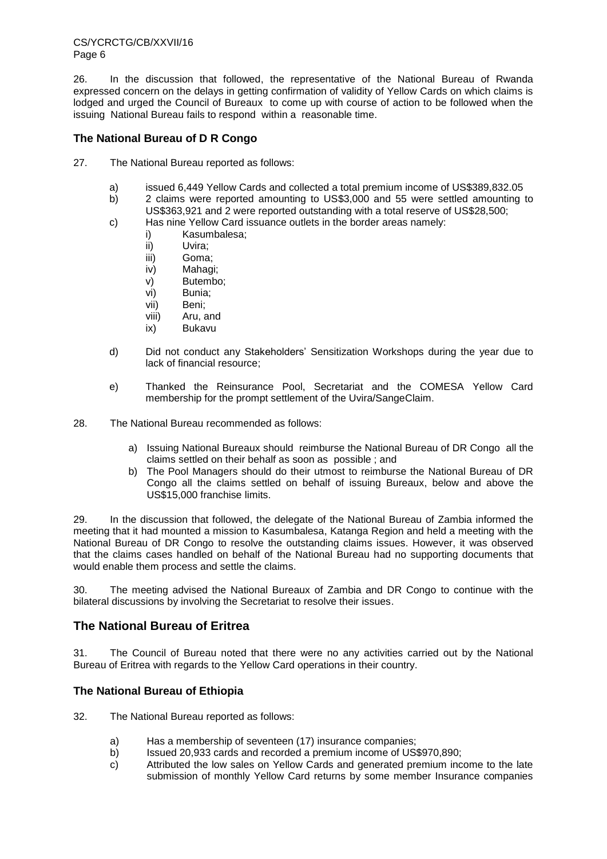26. In the discussion that followed, the representative of the National Bureau of Rwanda expressed concern on the delays in getting confirmation of validity of Yellow Cards on which claims is lodged and urged the Council of Bureaux to come up with course of action to be followed when the issuing National Bureau fails to respond within a reasonable time.

## **The National Bureau of D R Congo**

- 27. The National Bureau reported as follows:
	- a) issued 6,449 Yellow Cards and collected a total premium income of US\$389,832.05
	- b) 2 claims were reported amounting to US\$3,000 and 55 were settled amounting to US\$363,921 and 2 were reported outstanding with a total reserve of US\$28,500;
	- c) Has nine Yellow Card issuance outlets in the border areas namely:
		- i) Kasumbalesa;
		- ii) Uvira;
		- iii) Goma;
		- iv) Mahagi;
		- v) Butembo;
		- vi) Bunia;
		- vii) Beni;
		- viii) Aru, and
		- ix) Bukavu
	- d) Did not conduct any Stakeholders' Sensitization Workshops during the year due to lack of financial resource;
	- e) Thanked the Reinsurance Pool, Secretariat and the COMESA Yellow Card membership for the prompt settlement of the Uvira/SangeClaim.
- 28. The National Bureau recommended as follows:
	- a) Issuing National Bureaux should reimburse the National Bureau of DR Congo all the claims settled on their behalf as soon as possible ; and
	- b) The Pool Managers should do their utmost to reimburse the National Bureau of DR Congo all the claims settled on behalf of issuing Bureaux, below and above the US\$15,000 franchise limits.

29. In the discussion that followed, the delegate of the National Bureau of Zambia informed the meeting that it had mounted a mission to Kasumbalesa, Katanga Region and held a meeting with the National Bureau of DR Congo to resolve the outstanding claims issues. However, it was observed that the claims cases handled on behalf of the National Bureau had no supporting documents that would enable them process and settle the claims.

30. The meeting advised the National Bureaux of Zambia and DR Congo to continue with the bilateral discussions by involving the Secretariat to resolve their issues.

# **The National Bureau of Eritrea**

31. The Council of Bureau noted that there were no any activities carried out by the National Bureau of Eritrea with regards to the Yellow Card operations in their country.

# **The National Bureau of Ethiopia**

32. The National Bureau reported as follows:

- a) Has a membership of seventeen (17) insurance companies;
- b) Issued 20,933 cards and recorded a premium income of US\$970,890;
- c) Attributed the low sales on Yellow Cards and generated premium income to the late submission of monthly Yellow Card returns by some member Insurance companies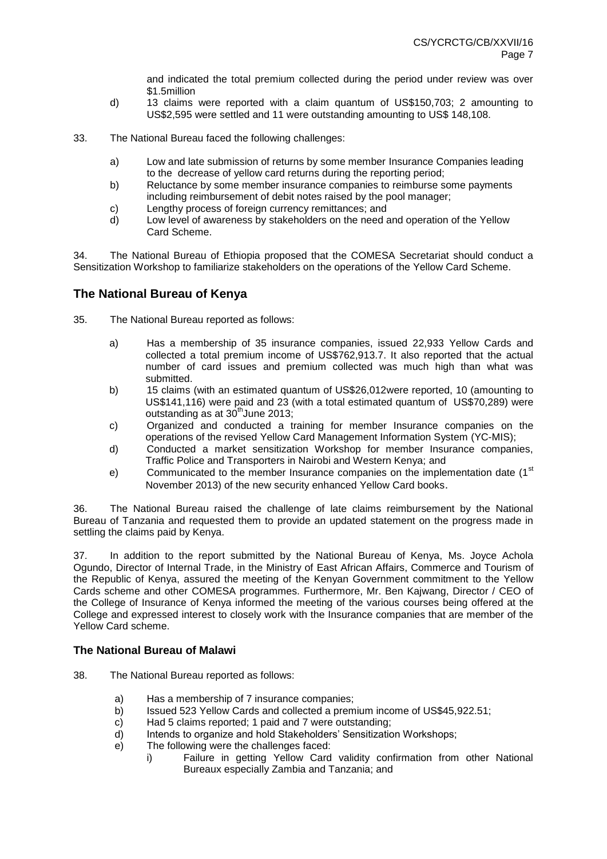and indicated the total premium collected during the period under review was over \$1.5million

- d) 13 claims were reported with a claim quantum of US\$150,703; 2 amounting to US\$2,595 were settled and 11 were outstanding amounting to US\$ 148,108.
- 33. The National Bureau faced the following challenges:
	- a) Low and late submission of returns by some member Insurance Companies leading to the decrease of yellow card returns during the reporting period;
	- b) Reluctance by some member insurance companies to reimburse some payments including reimbursement of debit notes raised by the pool manager;
	- c) Lengthy process of foreign currency remittances; and
	- d) Low level of awareness by stakeholders on the need and operation of the Yellow Card Scheme.

34. The National Bureau of Ethiopia proposed that the COMESA Secretariat should conduct a Sensitization Workshop to familiarize stakeholders on the operations of the Yellow Card Scheme.

# **The National Bureau of Kenya**

- 35. The National Bureau reported as follows:
	- a) Has a membership of 35 insurance companies, issued 22,933 Yellow Cards and collected a total premium income of US\$762,913.7. It also reported that the actual number of card issues and premium collected was much high than what was submitted.
	- b) 15 claims (with an estimated quantum of US\$26,012were reported, 10 (amounting to US\$141,116) were paid and 23 (with a total estimated quantum of US\$70,289) were outstanding as at  $30<sup>th</sup>$  June 2013;
	- c) Organized and conducted a training for member Insurance companies on the operations of the revised Yellow Card Management Information System (YC-MIS);
	- d) Conducted a market sensitization Workshop for member Insurance companies, Traffic Police and Transporters in Nairobi and Western Kenya; and
	- e) Communicated to the member Insurance companies on the implementation date  $(1<sup>st</sup>$ November 2013) of the new security enhanced Yellow Card books.

36. The National Bureau raised the challenge of late claims reimbursement by the National Bureau of Tanzania and requested them to provide an updated statement on the progress made in settling the claims paid by Kenya.

37. In addition to the report submitted by the National Bureau of Kenya, Ms. Joyce Achola Ogundo, Director of Internal Trade, in the Ministry of East African Affairs, Commerce and Tourism of the Republic of Kenya, assured the meeting of the Kenyan Government commitment to the Yellow Cards scheme and other COMESA programmes. Furthermore, Mr. Ben Kajwang, Director / CEO of the College of Insurance of Kenya informed the meeting of the various courses being offered at the College and expressed interest to closely work with the Insurance companies that are member of the Yellow Card scheme.

## **The National Bureau of Malawi**

- 38. The National Bureau reported as follows:
	- a) Has a membership of 7 insurance companies;
	- b) Issued 523 Yellow Cards and collected a premium income of US\$45,922.51;
	- c) Had 5 claims reported; 1 paid and 7 were outstanding;
	- d) Intends to organize and hold Stakeholders' Sensitization Workshops;
	- e) The following were the challenges faced:
		- i) Failure in getting Yellow Card validity confirmation from other National Bureaux especially Zambia and Tanzania; and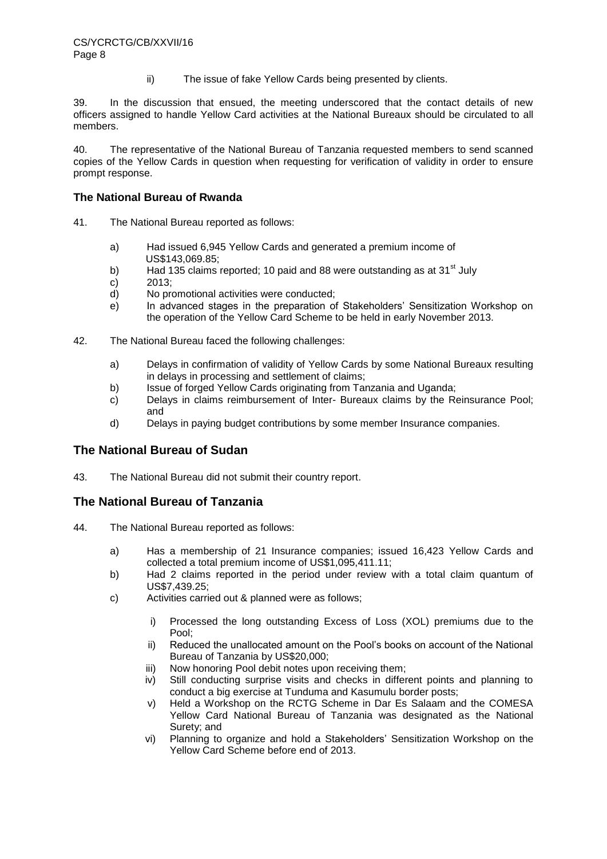ii) The issue of fake Yellow Cards being presented by clients.

39. In the discussion that ensued, the meeting underscored that the contact details of new officers assigned to handle Yellow Card activities at the National Bureaux should be circulated to all members.

40. The representative of the National Bureau of Tanzania requested members to send scanned copies of the Yellow Cards in question when requesting for verification of validity in order to ensure prompt response.

## **The National Bureau of Rwanda**

- 41. The National Bureau reported as follows:
	- a) Had issued 6,945 Yellow Cards and generated a premium income of US\$143,069.85;
	- b) Had 135 claims reported: 10 paid and 88 were outstanding as at 31 $^{\rm st}$  July
	- c) 2013;
	- d) No promotional activities were conducted;
	- e) In advanced stages in the preparation of Stakeholders' Sensitization Workshop on the operation of the Yellow Card Scheme to be held in early November 2013.
- 42. The National Bureau faced the following challenges:
	- a) Delays in confirmation of validity of Yellow Cards by some National Bureaux resulting in delays in processing and settlement of claims;
	- b) Issue of forged Yellow Cards originating from Tanzania and Uganda;
	- c) Delays in claims reimbursement of Inter- Bureaux claims by the Reinsurance Pool; and
	- d) Delays in paying budget contributions by some member Insurance companies.

# **The National Bureau of Sudan**

43. The National Bureau did not submit their country report.

# **The National Bureau of Tanzania**

- 44. The National Bureau reported as follows:
	- a) Has a membership of 21 Insurance companies; issued 16,423 Yellow Cards and collected a total premium income of US\$1,095,411.11;
	- b) Had 2 claims reported in the period under review with a total claim quantum of US\$7,439.25;
	- c) Activities carried out & planned were as follows;
		- i) Processed the long outstanding Excess of Loss (XOL) premiums due to the Pool;
		- ii) Reduced the unallocated amount on the Pool's books on account of the National Bureau of Tanzania by US\$20,000;
		- iii) Now honoring Pool debit notes upon receiving them;
		- iv) Still conducting surprise visits and checks in different points and planning to conduct a big exercise at Tunduma and Kasumulu border posts;
		- v) Held a Workshop on the RCTG Scheme in Dar Es Salaam and the COMESA Yellow Card National Bureau of Tanzania was designated as the National Surety; and
		- vi) Planning to organize and hold a Stakeholders' Sensitization Workshop on the Yellow Card Scheme before end of 2013.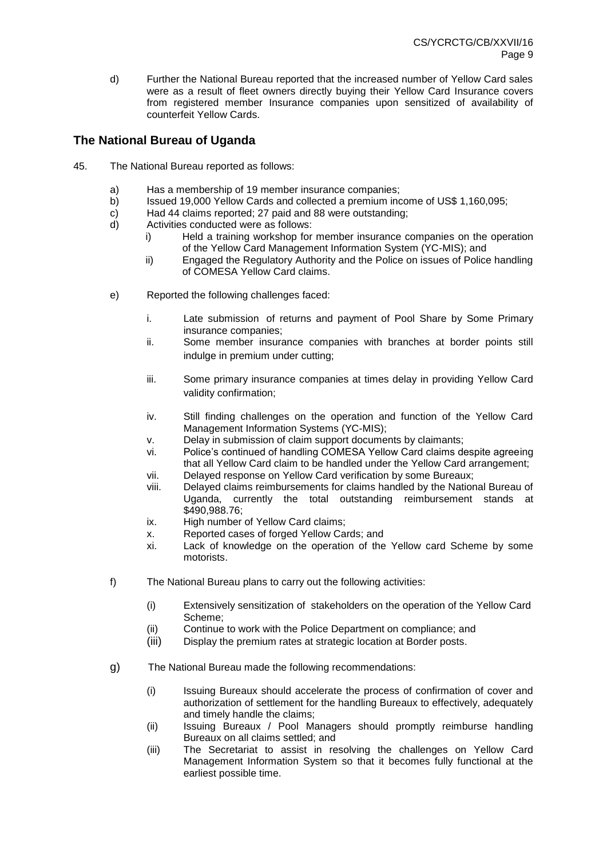d) Further the National Bureau reported that the increased number of Yellow Card sales were as a result of fleet owners directly buying their Yellow Card Insurance covers from registered member Insurance companies upon sensitized of availability of counterfeit Yellow Cards.

# **The National Bureau of Uganda**

- 45. The National Bureau reported as follows:
	- a) Has a membership of 19 member insurance companies;
	- b) Issued 19,000 Yellow Cards and collected a premium income of US\$ 1,160,095;
	- c) Had 44 claims reported; 27 paid and 88 were outstanding;
	- d) Activities conducted were as follows:
		- i) Held a training workshop for member insurance companies on the operation of the Yellow Card Management Information System (YC-MIS); and
		- ii) Engaged the Regulatory Authority and the Police on issues of Police handling of COMESA Yellow Card claims.
	- e) Reported the following challenges faced:
		- i. Late submission of returns and payment of Pool Share by Some Primary insurance companies;
		- ii. Some member insurance companies with branches at border points still indulge in premium under cutting;
		- iii. Some primary insurance companies at times delay in providing Yellow Card validity confirmation;
		- iv. Still finding challenges on the operation and function of the Yellow Card Management Information Systems (YC-MIS);
		- v. Delay in submission of claim support documents by claimants;
		- vi. Police's continued of handling COMESA Yellow Card claims despite agreeing that all Yellow Card claim to be handled under the Yellow Card arrangement;
		- vii. Delayed response on Yellow Card verification by some Bureaux;
		- viii. Delayed claims reimbursements for claims handled by the National Bureau of Uganda, currently the total outstanding reimbursement stands at \$490,988.76;
		- ix. High number of Yellow Card claims;
		- x. Reported cases of forged Yellow Cards; and
		- xi. Lack of knowledge on the operation of the Yellow card Scheme by some motorists.
	- f) The National Bureau plans to carry out the following activities:
		- (i) Extensively sensitization of stakeholders on the operation of the Yellow Card Scheme;
		- (ii) Continue to work with the Police Department on compliance; and
		- (iii) Display the premium rates at strategic location at Border posts.
	- g) The National Bureau made the following recommendations:
		- (i) Issuing Bureaux should accelerate the process of confirmation of cover and authorization of settlement for the handling Bureaux to effectively, adequately and timely handle the claims;
		- (ii) Issuing Bureaux / Pool Managers should promptly reimburse handling Bureaux on all claims settled; and
		- (iii) The Secretariat to assist in resolving the challenges on Yellow Card Management Information System so that it becomes fully functional at the earliest possible time.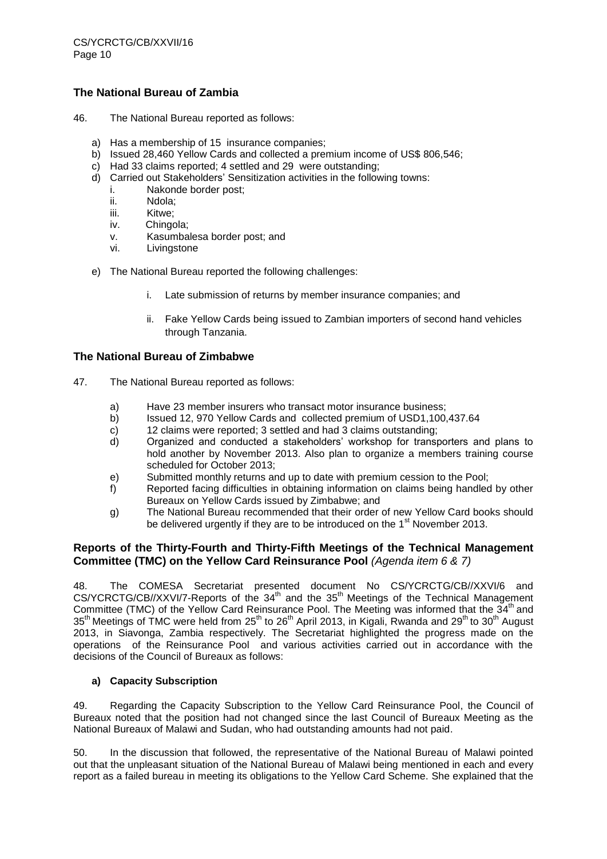## **The National Bureau of Zambia**

- 46. The National Bureau reported as follows:
	- a) Has a membership of 15 insurance companies;
	- b) Issued 28,460 Yellow Cards and collected a premium income of US\$ 806,546;
	- c) Had 33 claims reported; 4 settled and 29 were outstanding;
	- d) Carried out Stakeholders' Sensitization activities in the following towns:
		- i. Nakonde border post;
			- ii. Ndola;
			- iii. Kitwe;
			- iv. Chingola;
			- v. Kasumbalesa border post; and
			- vi. Livingstone
	- e) The National Bureau reported the following challenges:
		- i. Late submission of returns by member insurance companies; and
		- ii. Fake Yellow Cards being issued to Zambian importers of second hand vehicles through Tanzania.

## **The National Bureau of Zimbabwe**

- 47. The National Bureau reported as follows:
	- a) Have 23 member insurers who transact motor insurance business;
	- b) Issued 12, 970 Yellow Cards and collected premium of USD1,100,437.64
	- c) 12 claims were reported; 3 settled and had 3 claims outstanding;
	- d) Organized and conducted a stakeholders' workshop for transporters and plans to hold another by November 2013. Also plan to organize a members training course scheduled for October 2013;
	- e) Submitted monthly returns and up to date with premium cession to the Pool;
	- f) Reported facing difficulties in obtaining information on claims being handled by other Bureaux on Yellow Cards issued by Zimbabwe; and
	- g) The National Bureau recommended that their order of new Yellow Card books should be delivered urgently if they are to be introduced on the 1<sup>st</sup> November 2013.

## **Reports of the Thirty-Fourth and Thirty-Fifth Meetings of the Technical Management Committee (TMC) on the Yellow Card Reinsurance Pool** *(Agenda item 6 & 7)*

48. The COMESA Secretariat presented document No CS/YCRCTG/CB//XXVI/6 and CS/YCRCTG/CB//XXVI/7-Reports of the 34<sup>th</sup> and the 35<sup>th</sup> Meetings of the Technical Management Committee (TMC) of the Yellow Card Reinsurance Pool. The Meeting was informed that the 34<sup>th</sup> and 35<sup>th</sup> Meetings of TMC were held from 25<sup>th</sup> to 26<sup>th</sup> April 2013, in Kigali, Rwanda and 29<sup>th</sup> to 30<sup>th</sup> August 2013, in Siavonga, Zambia respectively. The Secretariat highlighted the progress made on the operations of the Reinsurance Pool and various activities carried out in accordance with the decisions of the Council of Bureaux as follows:

## **a) Capacity Subscription**

49. Regarding the Capacity Subscription to the Yellow Card Reinsurance Pool, the Council of Bureaux noted that the position had not changed since the last Council of Bureaux Meeting as the National Bureaux of Malawi and Sudan, who had outstanding amounts had not paid.

50. In the discussion that followed, the representative of the National Bureau of Malawi pointed out that the unpleasant situation of the National Bureau of Malawi being mentioned in each and every report as a failed bureau in meeting its obligations to the Yellow Card Scheme. She explained that the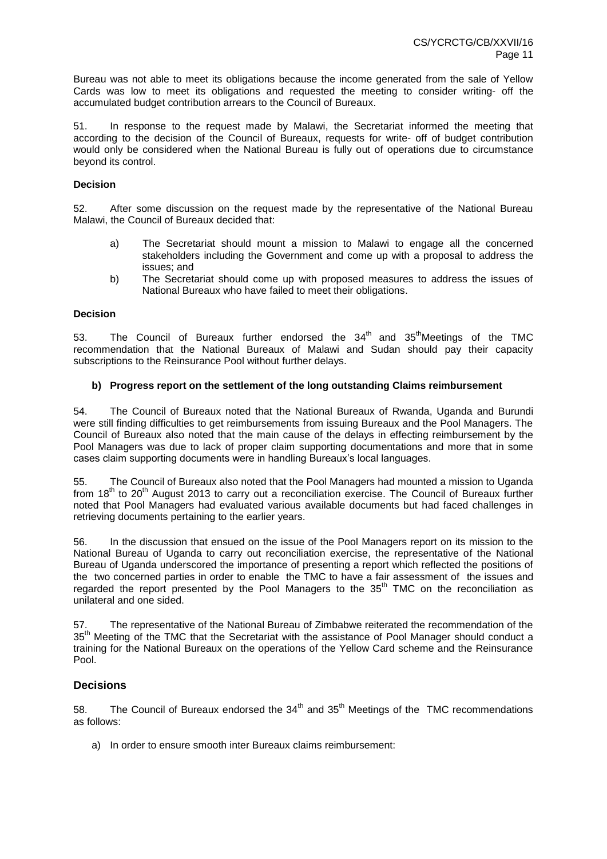Bureau was not able to meet its obligations because the income generated from the sale of Yellow Cards was low to meet its obligations and requested the meeting to consider writing- off the accumulated budget contribution arrears to the Council of Bureaux.

51. In response to the request made by Malawi, the Secretariat informed the meeting that according to the decision of the Council of Bureaux, requests for write- off of budget contribution would only be considered when the National Bureau is fully out of operations due to circumstance beyond its control.

#### **Decision**

52. After some discussion on the request made by the representative of the National Bureau Malawi, the Council of Bureaux decided that:

- a) The Secretariat should mount a mission to Malawi to engage all the concerned stakeholders including the Government and come up with a proposal to address the issues; and
- b) The Secretariat should come up with proposed measures to address the issues of National Bureaux who have failed to meet their obligations.

#### **Decision**

53. The Council of Bureaux further endorsed the  $34<sup>th</sup>$  and  $35<sup>th</sup>$ Meetings of the TMC recommendation that the National Bureaux of Malawi and Sudan should pay their capacity subscriptions to the Reinsurance Pool without further delays.

#### **b) Progress report on the settlement of the long outstanding Claims reimbursement**

54. The Council of Bureaux noted that the National Bureaux of Rwanda, Uganda and Burundi were still finding difficulties to get reimbursements from issuing Bureaux and the Pool Managers. The Council of Bureaux also noted that the main cause of the delays in effecting reimbursement by the Pool Managers was due to lack of proper claim supporting documentations and more that in some cases claim supporting documents were in handling Bureaux's local languages.

55. The Council of Bureaux also noted that the Pool Managers had mounted a mission to Uganda from  $18<sup>th</sup>$  to  $20<sup>th</sup>$  August 2013 to carry out a reconciliation exercise. The Council of Bureaux further noted that Pool Managers had evaluated various available documents but had faced challenges in retrieving documents pertaining to the earlier years.

56. In the discussion that ensued on the issue of the Pool Managers report on its mission to the National Bureau of Uganda to carry out reconciliation exercise, the representative of the National Bureau of Uganda underscored the importance of presenting a report which reflected the positions of the two concerned parties in order to enable the TMC to have a fair assessment of the issues and regarded the report presented by the Pool Managers to the  $35<sup>th</sup>$  TMC on the reconciliation as unilateral and one sided.

57. The representative of the National Bureau of Zimbabwe reiterated the recommendation of the 35th Meeting of the TMC that the Secretariat with the assistance of Pool Manager should conduct a training for the National Bureaux on the operations of the Yellow Card scheme and the Reinsurance Pool.

## **Decisions**

58. The Council of Bureaux endorsed the  $34<sup>th</sup>$  and  $35<sup>th</sup>$  Meetings of the TMC recommendations as follows:

a) In order to ensure smooth inter Bureaux claims reimbursement: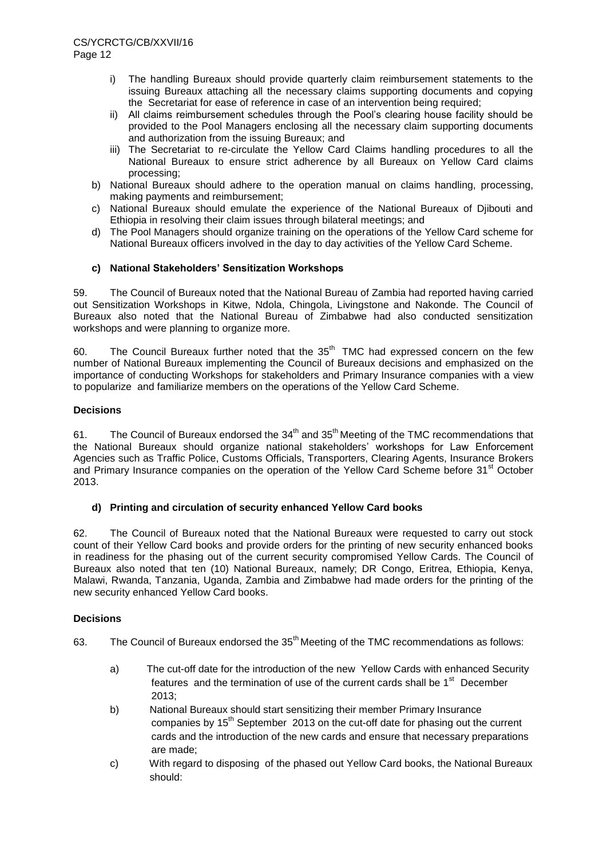- i) The handling Bureaux should provide quarterly claim reimbursement statements to the issuing Bureaux attaching all the necessary claims supporting documents and copying the Secretariat for ease of reference in case of an intervention being required;
- ii) All claims reimbursement schedules through the Pool's clearing house facility should be provided to the Pool Managers enclosing all the necessary claim supporting documents and authorization from the issuing Bureaux; and
- iii) The Secretariat to re-circulate the Yellow Card Claims handling procedures to all the National Bureaux to ensure strict adherence by all Bureaux on Yellow Card claims processing;
- b) National Bureaux should adhere to the operation manual on claims handling, processing, making payments and reimbursement;
- c) National Bureaux should emulate the experience of the National Bureaux of Djibouti and Ethiopia in resolving their claim issues through bilateral meetings; and
- d) The Pool Managers should organize training on the operations of the Yellow Card scheme for National Bureaux officers involved in the day to day activities of the Yellow Card Scheme.

## **c) National Stakeholders' Sensitization Workshops**

59. The Council of Bureaux noted that the National Bureau of Zambia had reported having carried out Sensitization Workshops in Kitwe, Ndola, Chingola, Livingstone and Nakonde. The Council of Bureaux also noted that the National Bureau of Zimbabwe had also conducted sensitization workshops and were planning to organize more.

60. The Council Bureaux further noted that the  $35<sup>th</sup>$  TMC had expressed concern on the few number of National Bureaux implementing the Council of Bureaux decisions and emphasized on the importance of conducting Workshops for stakeholders and Primary Insurance companies with a view to popularize and familiarize members on the operations of the Yellow Card Scheme.

## **Decisions**

61. The Council of Bureaux endorsed the  $34<sup>th</sup>$  and  $35<sup>th</sup>$  Meeting of the TMC recommendations that the National Bureaux should organize national stakeholders' workshops for Law Enforcement Agencies such as Traffic Police, Customs Officials, Transporters, Clearing Agents, Insurance Brokers and Primary Insurance companies on the operation of the Yellow Card Scheme before 31<sup>st</sup> October 2013.

## **d) Printing and circulation of security enhanced Yellow Card books**

62. The Council of Bureaux noted that the National Bureaux were requested to carry out stock count of their Yellow Card books and provide orders for the printing of new security enhanced books in readiness for the phasing out of the current security compromised Yellow Cards. The Council of Bureaux also noted that ten (10) National Bureaux, namely; DR Congo, Eritrea, Ethiopia, Kenya, Malawi, Rwanda, Tanzania, Uganda, Zambia and Zimbabwe had made orders for the printing of the new security enhanced Yellow Card books.

## **Decisions**

- 63. The Council of Bureaux endorsed the 35<sup>th</sup> Meeting of the TMC recommendations as follows:
	- a) The cut-off date for the introduction of the new Yellow Cards with enhanced Security features and the termination of use of the current cards shall be  $1<sup>st</sup>$  December 2013;
	- b) National Bureaux should start sensitizing their member Primary Insurance companies by  $15<sup>th</sup>$  September 2013 on the cut-off date for phasing out the current cards and the introduction of the new cards and ensure that necessary preparations are made;
	- c) With regard to disposing of the phased out Yellow Card books, the National Bureaux should: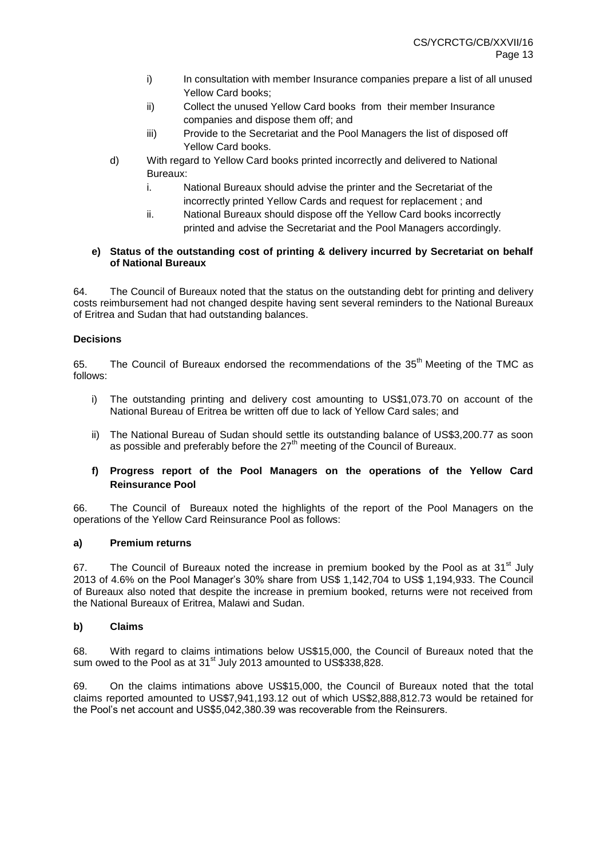- i) In consultation with member Insurance companies prepare a list of all unused Yellow Card books;
- ii) Collect the unused Yellow Card books from their member Insurance companies and dispose them off; and
- iii) Provide to the Secretariat and the Pool Managers the list of disposed off Yellow Card books.
- d) With regard to Yellow Card books printed incorrectly and delivered to National Bureaux:
	- i. National Bureaux should advise the printer and the Secretariat of the incorrectly printed Yellow Cards and request for replacement ; and
	- ii. National Bureaux should dispose off the Yellow Card books incorrectly printed and advise the Secretariat and the Pool Managers accordingly.

#### **e) Status of the outstanding cost of printing & delivery incurred by Secretariat on behalf of National Bureaux**

64. The Council of Bureaux noted that the status on the outstanding debt for printing and delivery costs reimbursement had not changed despite having sent several reminders to the National Bureaux of Eritrea and Sudan that had outstanding balances.

## **Decisions**

65. The Council of Bureaux endorsed the recommendations of the  $35<sup>th</sup>$  Meeting of the TMC as follows:

- i) The outstanding printing and delivery cost amounting to US\$1,073.70 on account of the National Bureau of Eritrea be written off due to lack of Yellow Card sales; and
- ii) The National Bureau of Sudan should settle its outstanding balance of US\$3,200.77 as soon as possible and preferably before the 27<sup>th</sup> meeting of the Council of Bureaux.

## **f) Progress report of the Pool Managers on the operations of the Yellow Card Reinsurance Pool**

66. The Council of Bureaux noted the highlights of the report of the Pool Managers on the operations of the Yellow Card Reinsurance Pool as follows:

## **a) Premium returns**

67. The Council of Bureaux noted the increase in premium booked by the Pool as at  $31<sup>st</sup>$  July 2013 of 4.6% on the Pool Manager's 30% share from US\$ 1,142,704 to US\$ 1,194,933. The Council of Bureaux also noted that despite the increase in premium booked, returns were not received from the National Bureaux of Eritrea, Malawi and Sudan.

## **b) Claims**

68. With regard to claims intimations below US\$15,000, the Council of Bureaux noted that the sum owed to the Pool as at 31<sup>st</sup> July 2013 amounted to US\$338,828.

69. On the claims intimations above US\$15,000, the Council of Bureaux noted that the total claims reported amounted to US\$7,941,193.12 out of which US\$2,888,812.73 would be retained for the Pool's net account and US\$5,042,380.39 was recoverable from the Reinsurers.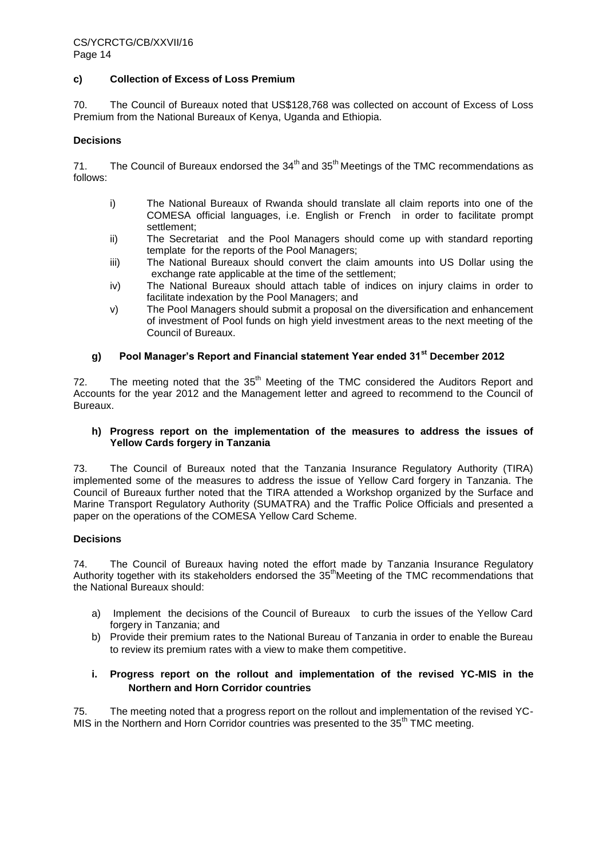#### **c) Collection of Excess of Loss Premium**

70. The Council of Bureaux noted that US\$128,768 was collected on account of Excess of Loss Premium from the National Bureaux of Kenya, Uganda and Ethiopia.

#### **Decisions**

71. The Council of Bureaux endorsed the  $34<sup>th</sup>$  and  $35<sup>th</sup>$  Meetings of the TMC recommendations as follows:

- i) The National Bureaux of Rwanda should translate all claim reports into one of the COMESA official languages, i.e. English or French in order to facilitate prompt settlement;
- ii) The Secretariat and the Pool Managers should come up with standard reporting template for the reports of the Pool Managers;
- iii) The National Bureaux should convert the claim amounts into US Dollar using the exchange rate applicable at the time of the settlement;
- iv) The National Bureaux should attach table of indices on injury claims in order to facilitate indexation by the Pool Managers; and
- v) The Pool Managers should submit a proposal on the diversification and enhancement of investment of Pool funds on high yield investment areas to the next meeting of the Council of Bureaux.

# **g) Pool Manager's Report and Financial statement Year ended 31st December 2012**

72. The meeting noted that the  $35<sup>th</sup>$  Meeting of the TMC considered the Auditors Report and Accounts for the year 2012 and the Management letter and agreed to recommend to the Council of Bureaux.

#### **h) Progress report on the implementation of the measures to address the issues of Yellow Cards forgery in Tanzania**

73. The Council of Bureaux noted that the Tanzania Insurance Regulatory Authority (TIRA) implemented some of the measures to address the issue of Yellow Card forgery in Tanzania. The Council of Bureaux further noted that the TIRA attended a Workshop organized by the Surface and Marine Transport Regulatory Authority (SUMATRA) and the Traffic Police Officials and presented a paper on the operations of the COMESA Yellow Card Scheme.

#### **Decisions**

74. The Council of Bureaux having noted the effort made by Tanzania Insurance Regulatory Authority together with its stakeholders endorsed the  $35<sup>th</sup>$ Meeting of the TMC recommendations that the National Bureaux should:

- a) Implement the decisions of the Council of Bureaux to curb the issues of the Yellow Card forgery in Tanzania; and
- b) Provide their premium rates to the National Bureau of Tanzania in order to enable the Bureau to review its premium rates with a view to make them competitive.

## **i. Progress report on the rollout and implementation of the revised YC-MIS in the Northern and Horn Corridor countries**

75. The meeting noted that a progress report on the rollout and implementation of the revised YC-MIS in the Northern and Horn Corridor countries was presented to the 35<sup>th</sup> TMC meeting.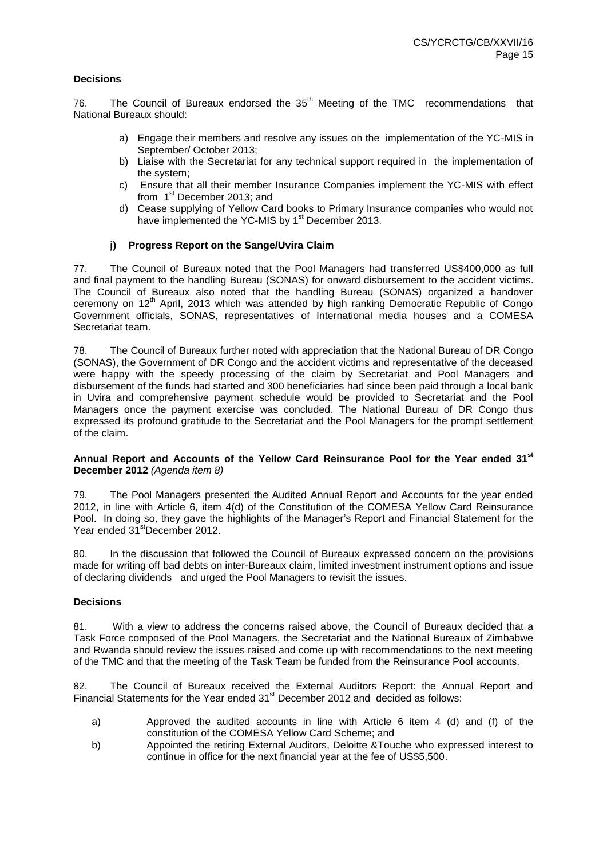## **Decisions**

76. The Council of Bureaux endorsed the  $35<sup>th</sup>$  Meeting of the TMC recommendations that National Bureaux should:

- a) Engage their members and resolve any issues on the implementation of the YC-MIS in September/ October 2013;
- b) Liaise with the Secretariat for any technical support required in the implementation of the system;
- c) Ensure that all their member Insurance Companies implement the YC-MIS with effect from 1<sup>st</sup> December 2013; and
- d) Cease supplying of Yellow Card books to Primary Insurance companies who would not have implemented the YC-MIS by 1<sup>st</sup> December 2013.

## **j) Progress Report on the Sange/Uvira Claim**

77. The Council of Bureaux noted that the Pool Managers had transferred US\$400,000 as full and final payment to the handling Bureau (SONAS) for onward disbursement to the accident victims. The Council of Bureaux also noted that the handling Bureau (SONAS) organized a handover ceremony on 12<sup>th</sup> April, 2013 which was attended by high ranking Democratic Republic of Congo Government officials, SONAS, representatives of International media houses and a COMESA Secretariat team.

78. The Council of Bureaux further noted with appreciation that the National Bureau of DR Congo (SONAS), the Government of DR Congo and the accident victims and representative of the deceased were happy with the speedy processing of the claim by Secretariat and Pool Managers and disbursement of the funds had started and 300 beneficiaries had since been paid through a local bank in Uvira and comprehensive payment schedule would be provided to Secretariat and the Pool Managers once the payment exercise was concluded. The National Bureau of DR Congo thus expressed its profound gratitude to the Secretariat and the Pool Managers for the prompt settlement of the claim.

#### **Annual Report and Accounts of the Yellow Card Reinsurance Pool for the Year ended 31st December 2012** *(Agenda item 8)*

79. The Pool Managers presented the Audited Annual Report and Accounts for the year ended 2012, in line with Article 6, item 4(d) of the Constitution of the COMESA Yellow Card Reinsurance Pool. In doing so, they gave the highlights of the Manager's Report and Financial Statement for the Year ended 31<sup>st</sup>December 2012.

80. In the discussion that followed the Council of Bureaux expressed concern on the provisions made for writing off bad debts on inter-Bureaux claim, limited investment instrument options and issue of declaring dividends and urged the Pool Managers to revisit the issues.

## **Decisions**

81. With a view to address the concerns raised above, the Council of Bureaux decided that a Task Force composed of the Pool Managers, the Secretariat and the National Bureaux of Zimbabwe and Rwanda should review the issues raised and come up with recommendations to the next meeting of the TMC and that the meeting of the Task Team be funded from the Reinsurance Pool accounts.

82. The Council of Bureaux received the External Auditors Report: the Annual Report and Financial Statements for the Year ended 31<sup>st</sup> December 2012 and decided as follows:

- a) Approved the audited accounts in line with Article 6 item 4 (d) and (f) of the constitution of the COMESA Yellow Card Scheme; and
- b) Appointed the retiring External Auditors, Deloitte &Touche who expressed interest to continue in office for the next financial year at the fee of US\$5,500.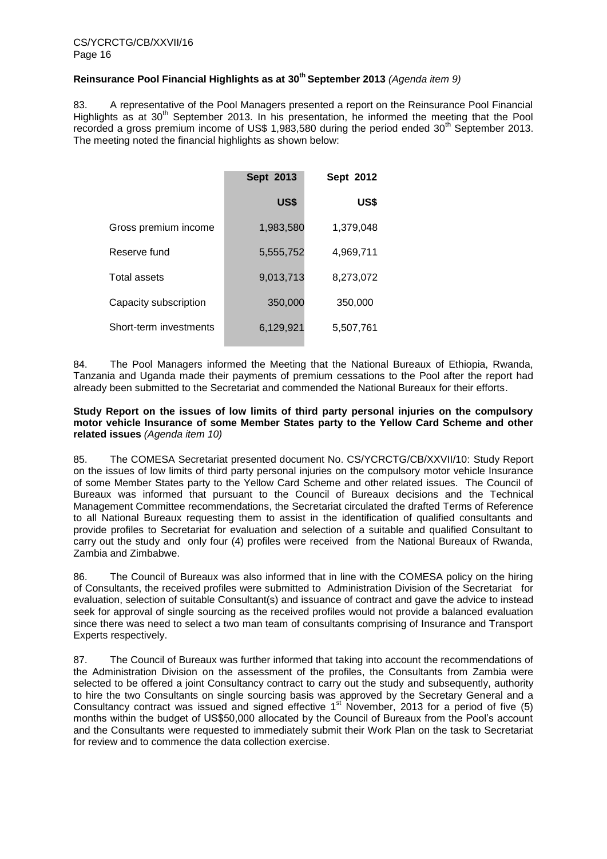## **Reinsurance Pool Financial Highlights as at 30th September 2013** *(Agenda item 9)*

83. A representative of the Pool Managers presented a report on the Reinsurance Pool Financial Highlights as at  $30<sup>th</sup>$  September 2013. In his presentation, he informed the meeting that the Pool recorded a gross premium income of US\$ 1,983,580 during the period ended 30<sup>th</sup> September 2013. The meeting noted the financial highlights as shown below:

|                        | <b>Sept 2013</b> | Sept 2012 |
|------------------------|------------------|-----------|
|                        | US\$             | US\$      |
| Gross premium income   | 1,983,580        | 1,379,048 |
| Reserve fund           | 5,555,752        | 4,969,711 |
| Total assets           | 9,013,713        | 8,273,072 |
| Capacity subscription  | 350,000          | 350,000   |
| Short-term investments | 6,129,921        | 5,507,761 |

84. The Pool Managers informed the Meeting that the National Bureaux of Ethiopia, Rwanda, Tanzania and Uganda made their payments of premium cessations to the Pool after the report had already been submitted to the Secretariat and commended the National Bureaux for their efforts.

#### **Study Report on the issues of low limits of third party personal injuries on the compulsory motor vehicle Insurance of some Member States party to the Yellow Card Scheme and other related issues** *(Agenda item 10)*

85. The COMESA Secretariat presented document No. CS/YCRCTG/CB/XXVII/10: Study Report on the issues of low limits of third party personal injuries on the compulsory motor vehicle Insurance of some Member States party to the Yellow Card Scheme and other related issues. The Council of Bureaux was informed that pursuant to the Council of Bureaux decisions and the Technical Management Committee recommendations, the Secretariat circulated the drafted Terms of Reference to all National Bureaux requesting them to assist in the identification of qualified consultants and provide profiles to Secretariat for evaluation and selection of a suitable and qualified Consultant to carry out the study and only four (4) profiles were received from the National Bureaux of Rwanda, Zambia and Zimbabwe.

86. The Council of Bureaux was also informed that in line with the COMESA policy on the hiring of Consultants, the received profiles were submitted to Administration Division of the Secretariat for evaluation, selection of suitable Consultant(s) and issuance of contract and gave the advice to instead seek for approval of single sourcing as the received profiles would not provide a balanced evaluation since there was need to select a two man team of consultants comprising of Insurance and Transport Experts respectively.

87. The Council of Bureaux was further informed that taking into account the recommendations of the Administration Division on the assessment of the profiles, the Consultants from Zambia were selected to be offered a joint Consultancy contract to carry out the study and subsequently, authority to hire the two Consultants on single sourcing basis was approved by the Secretary General and a Consultancy contract was issued and signed effective  $1<sup>st</sup>$  November, 2013 for a period of five (5) months within the budget of US\$50,000 allocated by the Council of Bureaux from the Pool's account and the Consultants were requested to immediately submit their Work Plan on the task to Secretariat for review and to commence the data collection exercise.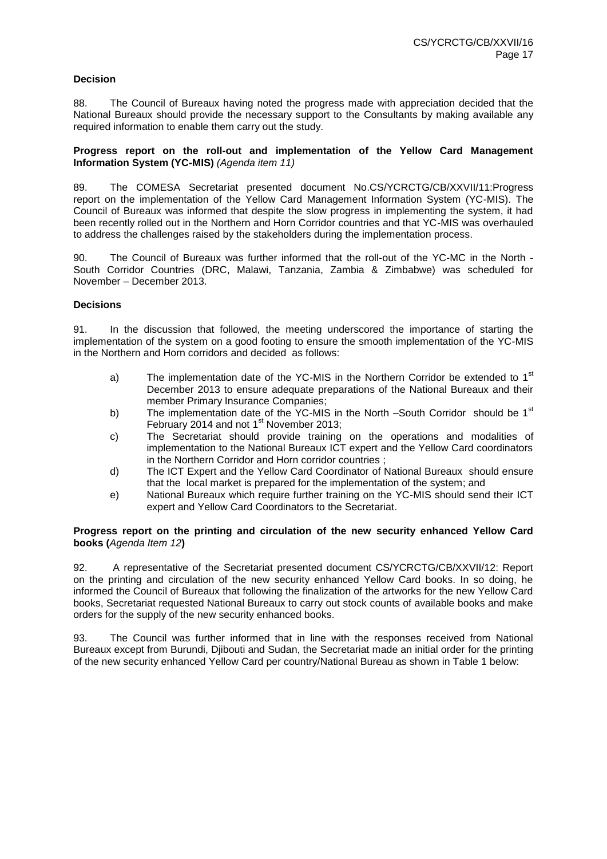## **Decision**

88. The Council of Bureaux having noted the progress made with appreciation decided that the National Bureaux should provide the necessary support to the Consultants by making available any required information to enable them carry out the study.

#### **Progress report on the roll-out and implementation of the Yellow Card Management Information System (YC-MIS)** *(Agenda item 11)*

89. The COMESA Secretariat presented document No.CS/YCRCTG/CB/XXVII/11:Progress report on the implementation of the Yellow Card Management Information System (YC-MIS). The Council of Bureaux was informed that despite the slow progress in implementing the system, it had been recently rolled out in the Northern and Horn Corridor countries and that YC-MIS was overhauled to address the challenges raised by the stakeholders during the implementation process.

90. The Council of Bureaux was further informed that the roll-out of the YC-MC in the North - South Corridor Countries (DRC, Malawi, Tanzania, Zambia & Zimbabwe) was scheduled for November – December 2013.

## **Decisions**

91. In the discussion that followed, the meeting underscored the importance of starting the implementation of the system on a good footing to ensure the smooth implementation of the YC-MIS in the Northern and Horn corridors and decided as follows:

- a) The implementation date of the YC-MIS in the Northern Corridor be extended to  $1<sup>st</sup>$ December 2013 to ensure adequate preparations of the National Bureaux and their member Primary Insurance Companies;
- b) The implementation date of the YC-MIS in the North –South Corridor should be 1<sup>st</sup> February 2014 and not 1<sup>st</sup> November 2013;
- c) The Secretariat should provide training on the operations and modalities of implementation to the National Bureaux ICT expert and the Yellow Card coordinators in the Northern Corridor and Horn corridor countries ;
- d) The ICT Expert and the Yellow Card Coordinator of National Bureaux should ensure that the local market is prepared for the implementation of the system; and
- e) National Bureaux which require further training on the YC-MIS should send their ICT expert and Yellow Card Coordinators to the Secretariat.

#### **Progress report on the printing and circulation of the new security enhanced Yellow Card books (***Agenda Item 12***)**

92. A representative of the Secretariat presented document CS/YCRCTG/CB/XXVII/12: Report on the printing and circulation of the new security enhanced Yellow Card books. In so doing, he informed the Council of Bureaux that following the finalization of the artworks for the new Yellow Card books, Secretariat requested National Bureaux to carry out stock counts of available books and make orders for the supply of the new security enhanced books.

93. The Council was further informed that in line with the responses received from National Bureaux except from Burundi, Djibouti and Sudan, the Secretariat made an initial order for the printing of the new security enhanced Yellow Card per country/National Bureau as shown in Table 1 below: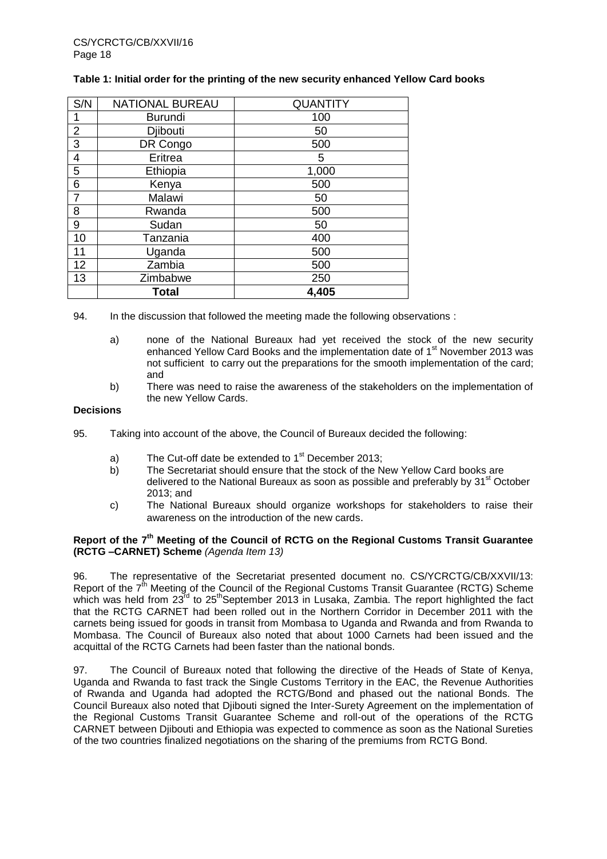#### **Table 1: Initial order for the printing of the new security enhanced Yellow Card books**

| S/N                     | <b>NATIONAL BUREAU</b> | <b>QUANTITY</b> |
|-------------------------|------------------------|-----------------|
|                         | <b>Burundi</b>         | 100             |
| $\overline{2}$          | Djibouti               | 50              |
| $\overline{3}$          | DR Congo               | 500             |
| $\overline{\mathbf{4}}$ | Eritrea                | 5               |
| $\mathbf 5$             | Ethiopia               | 1,000           |
| $\,6$                   | Kenya                  | 500             |
| $\overline{7}$          | Malawi                 | 50              |
| 8                       | Rwanda                 | 500             |
| 9                       | Sudan                  | 50              |
| 10                      | Tanzania               | 400             |
| 11                      | Uganda                 | 500             |
| 12                      | Zambia                 | 500             |
| 13                      | Zimbabwe               | 250             |
|                         | <b>Total</b>           | 4,405           |

94. In the discussion that followed the meeting made the following observations :

- a) none of the National Bureaux had yet received the stock of the new security enhanced Yellow Card Books and the implementation date of 1<sup>st</sup> November 2013 was not sufficient to carry out the preparations for the smooth implementation of the card; and
- b) There was need to raise the awareness of the stakeholders on the implementation of the new Yellow Cards.

#### **Decisions**

- 95. Taking into account of the above, the Council of Bureaux decided the following:
	- a) The Cut-off date be extended to 1<sup>st</sup> December 2013;
	- b) The Secretariat should ensure that the stock of the New Yellow Card books are delivered to the National Bureaux as soon as possible and preferably by  $31<sup>st</sup>$  October 2013; and
	- c) The National Bureaux should organize workshops for stakeholders to raise their awareness on the introduction of the new cards.

#### **Report of the 7 th Meeting of the Council of RCTG on the Regional Customs Transit Guarantee (RCTG –CARNET) Scheme** *(Agenda Item 13)*

96. The representative of the Secretariat presented document no. CS/YCRCTG/CB/XXVII/13: Report of the  $7<sup>th</sup>$  Meeting of the Council of the Regional Customs Transit Guarantee (RCTG) Scheme which was held from 23<sup>rd</sup> to 25<sup>th</sup>September 2013 in Lusaka, Zambia. The report highlighted the fact that the RCTG CARNET had been rolled out in the Northern Corridor in December 2011 with the carnets being issued for goods in transit from Mombasa to Uganda and Rwanda and from Rwanda to Mombasa. The Council of Bureaux also noted that about 1000 Carnets had been issued and the acquittal of the RCTG Carnets had been faster than the national bonds.

97. The Council of Bureaux noted that following the directive of the Heads of State of Kenya, Uganda and Rwanda to fast track the Single Customs Territory in the EAC, the Revenue Authorities of Rwanda and Uganda had adopted the RCTG/Bond and phased out the national Bonds. The Council Bureaux also noted that Djibouti signed the Inter-Surety Agreement on the implementation of the Regional Customs Transit Guarantee Scheme and roll-out of the operations of the RCTG CARNET between Djibouti and Ethiopia was expected to commence as soon as the National Sureties of the two countries finalized negotiations on the sharing of the premiums from RCTG Bond.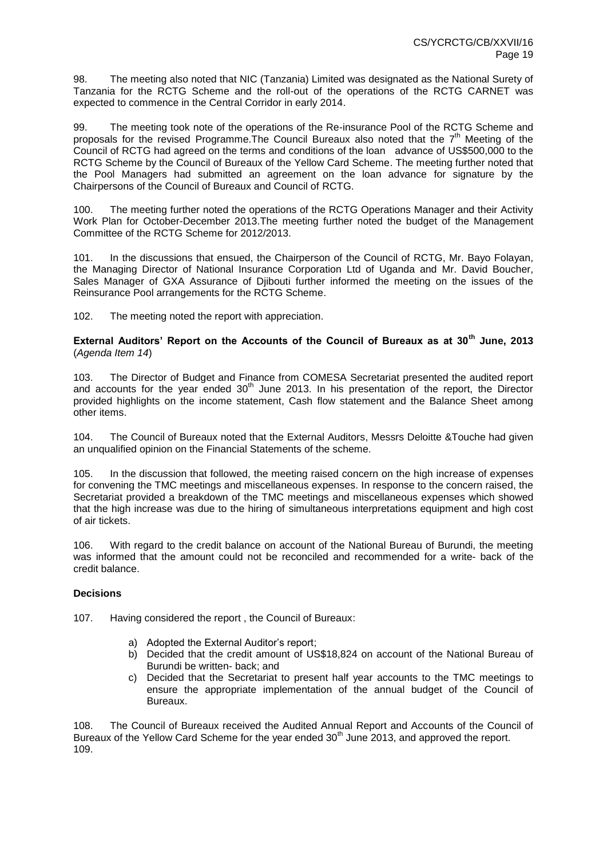98. The meeting also noted that NIC (Tanzania) Limited was designated as the National Surety of Tanzania for the RCTG Scheme and the roll-out of the operations of the RCTG CARNET was expected to commence in the Central Corridor in early 2014.

99. The meeting took note of the operations of the Re-insurance Pool of the RCTG Scheme and proposals for the revised Programme. The Council Bureaux also noted that the  $7<sup>th</sup>$  Meeting of the Council of RCTG had agreed on the terms and conditions of the loan advance of US\$500,000 to the RCTG Scheme by the Council of Bureaux of the Yellow Card Scheme. The meeting further noted that the Pool Managers had submitted an agreement on the loan advance for signature by the Chairpersons of the Council of Bureaux and Council of RCTG.

100. The meeting further noted the operations of the RCTG Operations Manager and their Activity Work Plan for October-December 2013.The meeting further noted the budget of the Management Committee of the RCTG Scheme for 2012/2013.

101. In the discussions that ensued, the Chairperson of the Council of RCTG, Mr. Bayo Folayan, the Managing Director of National Insurance Corporation Ltd of Uganda and Mr. David Boucher, Sales Manager of GXA Assurance of Djibouti further informed the meeting on the issues of the Reinsurance Pool arrangements for the RCTG Scheme.

102. The meeting noted the report with appreciation.

**External Auditors' Report on the Accounts of the Council of Bureaux as at 30th June, 2013**  (*Agenda Item 14*)

103. The Director of Budget and Finance from COMESA Secretariat presented the audited report and accounts for the year ended  $30<sup>th</sup>$  June 2013. In his presentation of the report, the Director provided highlights on the income statement, Cash flow statement and the Balance Sheet among other items.

104. The Council of Bureaux noted that the External Auditors, Messrs Deloitte &Touche had given an unqualified opinion on the Financial Statements of the scheme.

105. In the discussion that followed, the meeting raised concern on the high increase of expenses for convening the TMC meetings and miscellaneous expenses. In response to the concern raised, the Secretariat provided a breakdown of the TMC meetings and miscellaneous expenses which showed that the high increase was due to the hiring of simultaneous interpretations equipment and high cost of air tickets.

106. With regard to the credit balance on account of the National Bureau of Burundi, the meeting was informed that the amount could not be reconciled and recommended for a write- back of the credit balance.

## **Decisions**

107. Having considered the report , the Council of Bureaux:

- a) Adopted the External Auditor's report;
- b) Decided that the credit amount of US\$18,824 on account of the National Bureau of Burundi be written- back; and
- c) Decided that the Secretariat to present half year accounts to the TMC meetings to ensure the appropriate implementation of the annual budget of the Council of Bureaux.

108. The Council of Bureaux received the Audited Annual Report and Accounts of the Council of Bureaux of the Yellow Card Scheme for the year ended 30<sup>th</sup> June 2013, and approved the report. 109.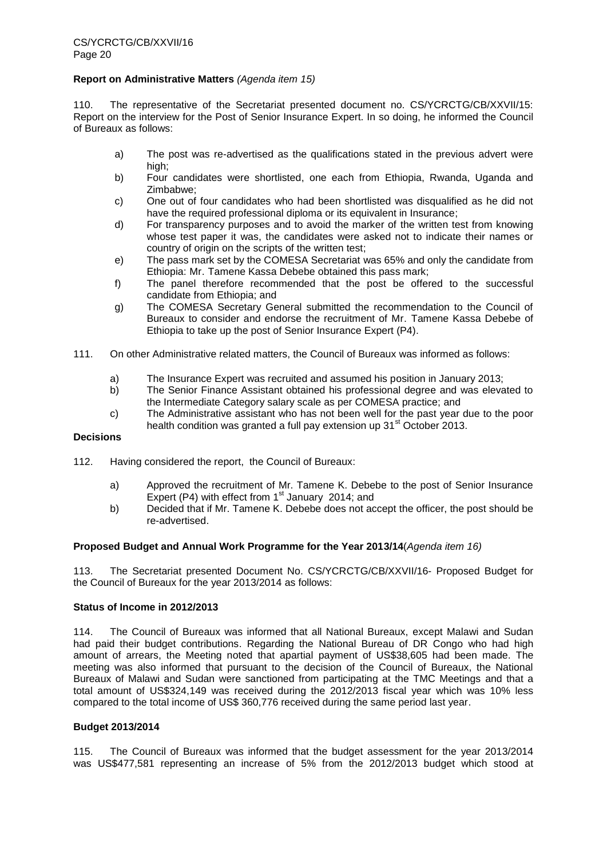#### **Report on Administrative Matters** *(Agenda item 15)*

110. The representative of the Secretariat presented document no. CS/YCRCTG/CB/XXVII/15: Report on the interview for the Post of Senior Insurance Expert. In so doing, he informed the Council of Bureaux as follows:

- a) The post was re-advertised as the qualifications stated in the previous advert were high:
- b) Four candidates were shortlisted, one each from Ethiopia, Rwanda, Uganda and Zimbabwe;
- c) One out of four candidates who had been shortlisted was disqualified as he did not have the required professional diploma or its equivalent in Insurance;
- d) For transparency purposes and to avoid the marker of the written test from knowing whose test paper it was, the candidates were asked not to indicate their names or country of origin on the scripts of the written test;
- e) The pass mark set by the COMESA Secretariat was 65% and only the candidate from Ethiopia: Mr. Tamene Kassa Debebe obtained this pass mark;
- f) The panel therefore recommended that the post be offered to the successful candidate from Ethiopia; and
- g) The COMESA Secretary General submitted the recommendation to the Council of Bureaux to consider and endorse the recruitment of Mr. Tamene Kassa Debebe of Ethiopia to take up the post of Senior Insurance Expert (P4).
- 111. On other Administrative related matters, the Council of Bureaux was informed as follows:
	- a) The Insurance Expert was recruited and assumed his position in January 2013;
	- b) The Senior Finance Assistant obtained his professional degree and was elevated to the Intermediate Category salary scale as per COMESA practice; and
	- c) The Administrative assistant who has not been well for the past year due to the poor health condition was granted a full pay extension up 31<sup>st</sup> October 2013.

#### **Decisions**

- 112. Having considered the report, the Council of Bureaux:
	- a) Approved the recruitment of Mr. Tamene K. Debebe to the post of Senior Insurance Expert (P4) with effect from  $1<sup>st</sup>$  January 2014; and
	- b) Decided that if Mr. Tamene K. Debebe does not accept the officer, the post should be re-advertised.

## **Proposed Budget and Annual Work Programme for the Year 2013/14**(*Agenda item 16)*

113. The Secretariat presented Document No. CS/YCRCTG/CB/XXVII/16- Proposed Budget for the Council of Bureaux for the year 2013/2014 as follows:

#### **Status of Income in 2012/2013**

114. The Council of Bureaux was informed that all National Bureaux, except Malawi and Sudan had paid their budget contributions. Regarding the National Bureau of DR Congo who had high amount of arrears, the Meeting noted that apartial payment of US\$38,605 had been made. The meeting was also informed that pursuant to the decision of the Council of Bureaux, the National Bureaux of Malawi and Sudan were sanctioned from participating at the TMC Meetings and that a total amount of US\$324,149 was received during the 2012/2013 fiscal year which was 10% less compared to the total income of US\$ 360,776 received during the same period last year.

#### **Budget 2013/2014**

115. The Council of Bureaux was informed that the budget assessment for the year 2013/2014 was US\$477,581 representing an increase of 5% from the 2012/2013 budget which stood at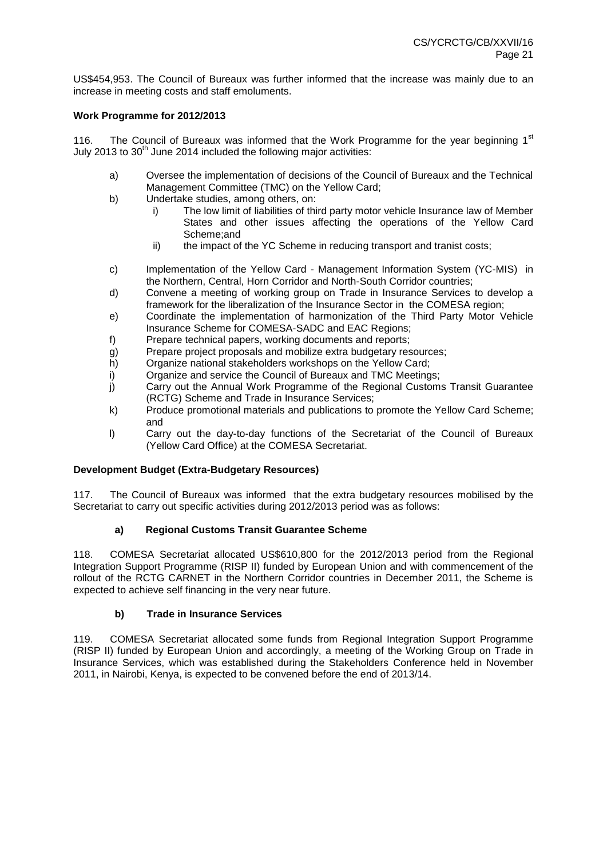US\$454,953. The Council of Bureaux was further informed that the increase was mainly due to an increase in meeting costs and staff emoluments.

#### **Work Programme for 2012/2013**

116. The Council of Bureaux was informed that the Work Programme for the year beginning  $1<sup>st</sup>$ July 2013 to  $30<sup>th</sup>$  June 2014 included the following major activities:

- a) Oversee the implementation of decisions of the Council of Bureaux and the Technical Management Committee (TMC) on the Yellow Card;
- b) Undertake studies, among others, on:
	- i) The low limit of liabilities of third party motor vehicle Insurance law of Member States and other issues affecting the operations of the Yellow Card Scheme;and
	- ii) the impact of the YC Scheme in reducing transport and tranist costs;
- c) Implementation of the Yellow Card Management Information System (YC-MIS) in the Northern, Central, Horn Corridor and North-South Corridor countries;
- d) Convene a meeting of working group on Trade in Insurance Services to develop a framework for the liberalization of the Insurance Sector in the COMESA region;
- e) Coordinate the implementation of harmonization of the Third Party Motor Vehicle Insurance Scheme for COMESA-SADC and EAC Regions;
- f) Prepare technical papers, working documents and reports;
- g) Prepare project proposals and mobilize extra budgetary resources;
- h) Organize national stakeholders workshops on the Yellow Card;
- i) Organize and service the Council of Bureaux and TMC Meetings;
- j) Carry out the Annual Work Programme of the Regional Customs Transit Guarantee (RCTG) Scheme and Trade in Insurance Services;
- k) Produce promotional materials and publications to promote the Yellow Card Scheme; and
- l) Carry out the day-to-day functions of the Secretariat of the Council of Bureaux (Yellow Card Office) at the COMESA Secretariat.

## **Development Budget (Extra-Budgetary Resources)**

117. The Council of Bureaux was informed that the extra budgetary resources mobilised by the Secretariat to carry out specific activities during 2012/2013 period was as follows:

## **a) Regional Customs Transit Guarantee Scheme**

118. COMESA Secretariat allocated US\$610,800 for the 2012/2013 period from the Regional Integration Support Programme (RISP II) funded by European Union and with commencement of the rollout of the RCTG CARNET in the Northern Corridor countries in December 2011, the Scheme is expected to achieve self financing in the very near future.

## **b) Trade in Insurance Services**

119. COMESA Secretariat allocated some funds from Regional Integration Support Programme (RISP II) funded by European Union and accordingly, a meeting of the Working Group on Trade in Insurance Services, which was established during the Stakeholders Conference held in November 2011, in Nairobi, Kenya, is expected to be convened before the end of 2013/14.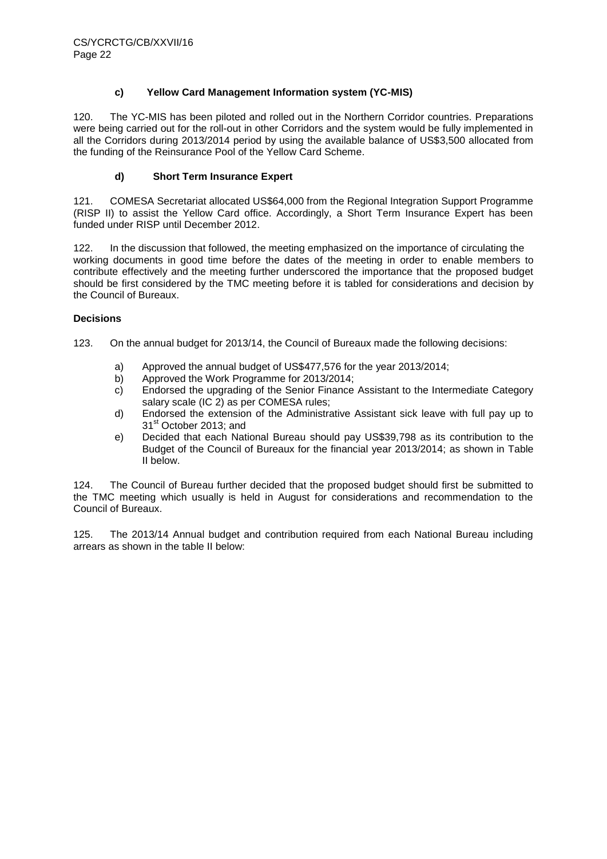## **c) Yellow Card Management Information system (YC-MIS)**

120. The YC-MIS has been piloted and rolled out in the Northern Corridor countries. Preparations were being carried out for the roll-out in other Corridors and the system would be fully implemented in all the Corridors during 2013/2014 period by using the available balance of US\$3,500 allocated from the funding of the Reinsurance Pool of the Yellow Card Scheme.

#### **d) Short Term Insurance Expert**

121. COMESA Secretariat allocated US\$64,000 from the Regional Integration Support Programme (RISP II) to assist the Yellow Card office. Accordingly, a Short Term Insurance Expert has been funded under RISP until December 2012.

122. In the discussion that followed, the meeting emphasized on the importance of circulating the working documents in good time before the dates of the meeting in order to enable members to contribute effectively and the meeting further underscored the importance that the proposed budget should be first considered by the TMC meeting before it is tabled for considerations and decision by the Council of Bureaux.

#### **Decisions**

123. On the annual budget for 2013/14, the Council of Bureaux made the following decisions:

- a) Approved the annual budget of US\$477,576 for the year 2013/2014;
- b) Approved the Work Programme for 2013/2014;
- c) Endorsed the upgrading of the Senior Finance Assistant to the Intermediate Category salary scale (IC 2) as per COMESA rules;
- d) Endorsed the extension of the Administrative Assistant sick leave with full pay up to 31<sup>st</sup> October 2013; and
- e) Decided that each National Bureau should pay US\$39,798 as its contribution to the Budget of the Council of Bureaux for the financial year 2013/2014; as shown in Table II below.

124. The Council of Bureau further decided that the proposed budget should first be submitted to the TMC meeting which usually is held in August for considerations and recommendation to the Council of Bureaux.

125. The 2013/14 Annual budget and contribution required from each National Bureau including arrears as shown in the table II below: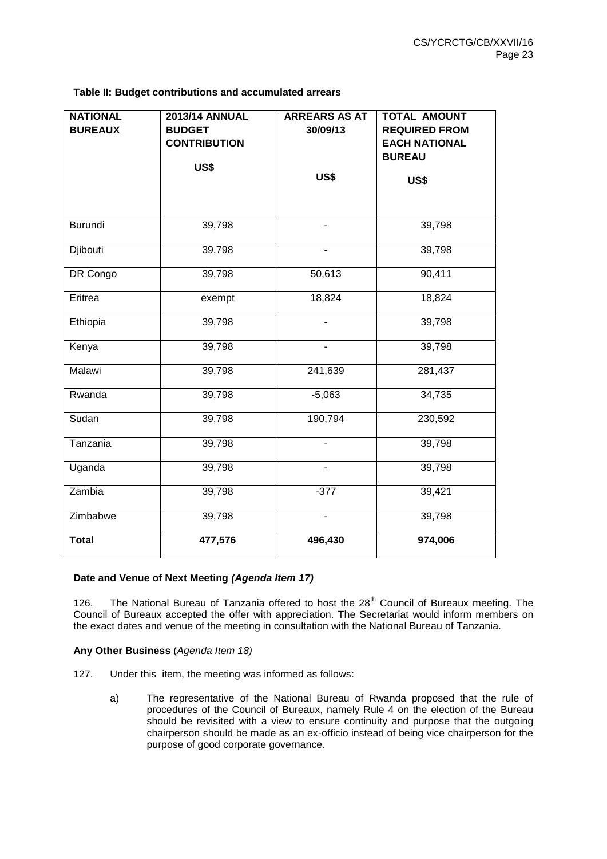**Table II: Budget contributions and accumulated arrears**

| <b>NATIONAL</b><br><b>BUREAUX</b> | <b>2013/14 ANNUAL</b><br><b>BUDGET</b><br><b>CONTRIBUTION</b><br>US\$ | <b>ARREARS AS AT</b><br>30/09/13<br>US\$ | TOTAL AMOUNT<br><b>REQUIRED FROM</b><br><b>EACH NATIONAL</b><br><b>BUREAU</b><br><b>US\$</b> |
|-----------------------------------|-----------------------------------------------------------------------|------------------------------------------|----------------------------------------------------------------------------------------------|
| <b>Burundi</b>                    | 39,798                                                                | ÷.                                       | 39,798                                                                                       |
| Djibouti                          | 39,798                                                                | ÷.                                       | 39,798                                                                                       |
| DR Congo                          | 39,798                                                                | 50,613                                   | 90,411                                                                                       |
| Eritrea                           | exempt                                                                | 18,824                                   | 18,824                                                                                       |
| Ethiopia                          | 39,798                                                                |                                          | 39,798                                                                                       |
| Kenya                             | 39,798                                                                |                                          | 39,798                                                                                       |
| Malawi                            | 39,798                                                                | 241,639                                  | 281,437                                                                                      |
| Rwanda                            | 39,798                                                                | $-5,063$                                 | 34,735                                                                                       |
| Sudan                             | 39,798                                                                | 190,794                                  | 230,592                                                                                      |
| Tanzania                          | 39,798                                                                |                                          | 39,798                                                                                       |
| Uganda                            | 39,798                                                                | $\overline{\phantom{0}}$                 | 39,798                                                                                       |
| Zambia                            | 39,798                                                                | $-377$                                   | 39,421                                                                                       |
| Zimbabwe                          | 39,798                                                                | $\overline{\phantom{0}}$                 | 39,798                                                                                       |
| <b>Total</b>                      | 477,576                                                               | 496,430                                  | 974,006                                                                                      |

## **Date and Venue of Next Meeting** *(Agenda Item 17)*

126. The National Bureau of Tanzania offered to host the 28<sup>th</sup> Council of Bureaux meeting. The Council of Bureaux accepted the offer with appreciation. The Secretariat would inform members on the exact dates and venue of the meeting in consultation with the National Bureau of Tanzania.

## **Any Other Business** (*Agenda Item 18)*

- 127. Under this item, the meeting was informed as follows:
	- a) The representative of the National Bureau of Rwanda proposed that the rule of procedures of the Council of Bureaux, namely Rule 4 on the election of the Bureau should be revisited with a view to ensure continuity and purpose that the outgoing chairperson should be made as an ex-officio instead of being vice chairperson for the purpose of good corporate governance.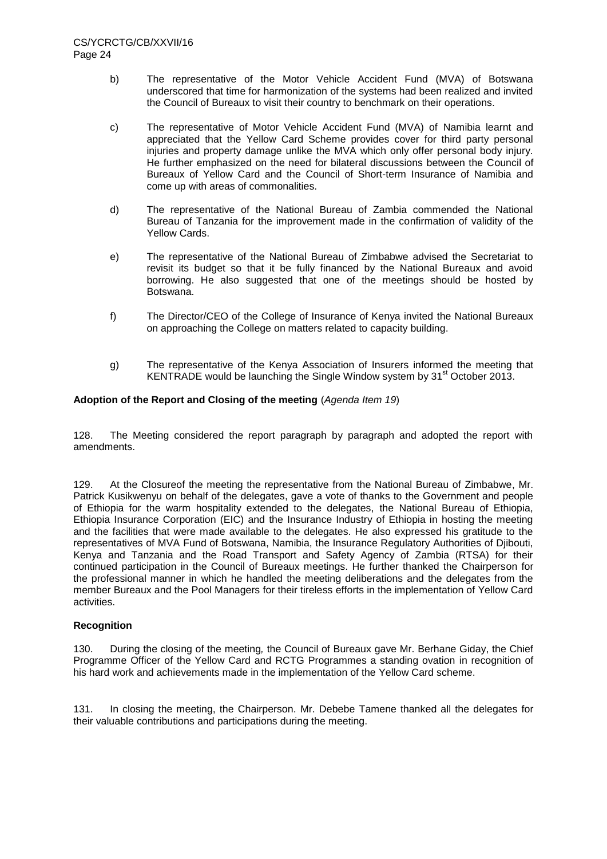- b) The representative of the Motor Vehicle Accident Fund (MVA) of Botswana underscored that time for harmonization of the systems had been realized and invited the Council of Bureaux to visit their country to benchmark on their operations.
- c) The representative of Motor Vehicle Accident Fund (MVA) of Namibia learnt and appreciated that the Yellow Card Scheme provides cover for third party personal injuries and property damage unlike the MVA which only offer personal body injury. He further emphasized on the need for bilateral discussions between the Council of Bureaux of Yellow Card and the Council of Short-term Insurance of Namibia and come up with areas of commonalities.
- d) The representative of the National Bureau of Zambia commended the National Bureau of Tanzania for the improvement made in the confirmation of validity of the Yellow Cards.
- e) The representative of the National Bureau of Zimbabwe advised the Secretariat to revisit its budget so that it be fully financed by the National Bureaux and avoid borrowing. He also suggested that one of the meetings should be hosted by Botswana.
- f) The Director/CEO of the College of Insurance of Kenya invited the National Bureaux on approaching the College on matters related to capacity building.
- g) The representative of the Kenya Association of Insurers informed the meeting that KENTRADE would be launching the Single Window system by  $31<sup>st</sup>$  October 2013.

#### **Adoption of the Report and Closing of the meeting** (*Agenda Item 19*)

128. The Meeting considered the report paragraph by paragraph and adopted the report with amendments.

129. At the Closureof the meeting the representative from the National Bureau of Zimbabwe, Mr. Patrick Kusikwenyu on behalf of the delegates, gave a vote of thanks to the Government and people of Ethiopia for the warm hospitality extended to the delegates, the National Bureau of Ethiopia, Ethiopia Insurance Corporation (EIC) and the Insurance Industry of Ethiopia in hosting the meeting and the facilities that were made available to the delegates. He also expressed his gratitude to the representatives of MVA Fund of Botswana, Namibia, the Insurance Regulatory Authorities of Djibouti, Kenya and Tanzania and the Road Transport and Safety Agency of Zambia (RTSA) for their continued participation in the Council of Bureaux meetings. He further thanked the Chairperson for the professional manner in which he handled the meeting deliberations and the delegates from the member Bureaux and the Pool Managers for their tireless efforts in the implementation of Yellow Card activities.

## **Recognition**

130. During the closing of the meeting*,* the Council of Bureaux gave Mr. Berhane Giday, the Chief Programme Officer of the Yellow Card and RCTG Programmes a standing ovation in recognition of his hard work and achievements made in the implementation of the Yellow Card scheme.

131. In closing the meeting, the Chairperson. Mr. Debebe Tamene thanked all the delegates for their valuable contributions and participations during the meeting.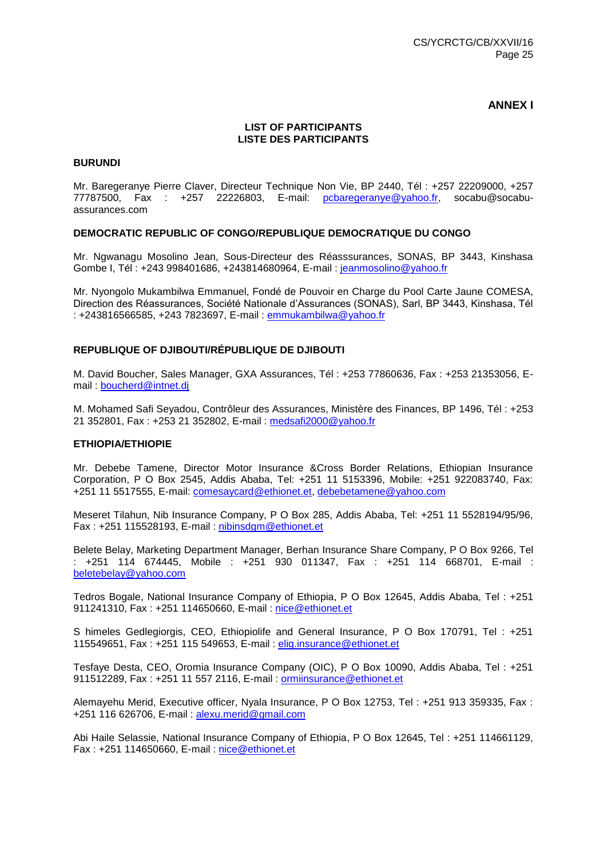## **ANNEX I**

#### **LIST OF PARTICIPANTS LISTE DES PARTICIPANTS**

#### **BURUNDI**

Mr. Baregeranye Pierre Claver, Directeur Technique Non Vie, BP 2440, Tél : +257 22209000, +257 77787500, Fax : +257 22226803, E-mail: [pcbaregeranye@yahoo.fr,](mailto:pcbaregeranye@yahoo.fr) socabu@socabuassurances.com

#### **DEMOCRATIC REPUBLIC OF CONGO/REPUBLIQUE DEMOCRATIQUE DU CONGO**

Mr. Ngwanagu Mosolino Jean, Sous-Directeur des Réasssurances, SONAS, BP 3443, Kinshasa Gombe I, Tél : +243 998401686, +243814680964, E-mail : [jeanmosolino@yahoo.fr](mailto:jeanmosolino@yahoo.fr)

Mr. Nyongolo Mukambilwa Emmanuel, Fondé de Pouvoir en Charge du Pool Carte Jaune COMESA, Direction des Réassurances, Société Nationale d'Assurances (SONAS), Sarl, BP 3443, Kinshasa, Tél : +243816566585, +243 7823697, E-mail : [emmukambilwa@yahoo.fr](mailto:emmukambilwa@yahoo.fr)

#### **REPUBLIQUE OF DJIBOUTI/RÉPUBLIQUE DE DJIBOUTI**

M. David Boucher, Sales Manager, GXA Assurances, Tél : +253 77860636, Fax : +253 21353056, Email : [boucherd@intnet.dj](mailto:boucherd@intnet.dj)

M. Mohamed Safi Seyadou, Contrôleur des Assurances, Ministère des Finances, BP 1496, Tél : +253 21 352801, Fax : +253 21 352802, E-mail : [medsafi2000@yahoo.fr](mailto:medsafi2000@yahoo.fr)

#### **ETHIOPIA/ETHIOPIE**

Mr. Debebe Tamene, Director Motor Insurance &Cross Border Relations, Ethiopian Insurance Corporation, P O Box 2545, Addis Ababa, Tel: +251 11 5153396, Mobile: +251 922083740, Fax: +251 11 5517555, E-mail: [comesaycard@ethionet.et,](mailto:comesaycard@ethionet.et) [debebetamene@yahoo.com](mailto:debebetamene@yahoo.com)

Meseret Tilahun, Nib Insurance Company, P O Box 285, Addis Ababa, Tel: +251 11 5528194/95/96, Fax : +251 115528193, E-mail : [nibinsdgm@ethionet.et](mailto:nibinsdgm@ethionet.et)

Belete Belay, Marketing Department Manager, Berhan Insurance Share Company, P O Box 9266, Tel : +251 114 674445, Mobile : +251 930 011347, Fax : +251 114 668701, E-mail : [beletebelay@yahoo.com](mailto:beletebelay@yahoo.com)

Tedros Bogale, National Insurance Company of Ethiopia, P O Box 12645, Addis Ababa, Tel : +251 911241310, Fax : +251 114650660, E-mail : [nice@ethionet.et](mailto:nice@ethionet.et)

S himeles Gedlegiorgis, CEO, Ethiopiolife and General Insurance, P O Box 170791, Tel : +251 115549651, Fax : +251 115 549653, E-mail : [elig.insurance@ethionet.et](mailto:elig.insurance@ethionet.et)

Tesfaye Desta, CEO, Oromia Insurance Company (OIC), P O Box 10090, Addis Ababa, Tel : +251 911512289, Fax : +251 11 557 2116, E-mail : [ormiinsurance@ethionet.et](mailto:ormiinsurance@ethionet.et)

Alemayehu Merid, Executive officer, Nyala Insurance, P O Box 12753, Tel : +251 913 359335, Fax : +251 116 626706, E-mail : [alexu.merid@gmail.com](mailto:alexu.merid@gmail.com)

Abi Haile Selassie, National Insurance Company of Ethiopia, P O Box 12645, Tel : +251 114661129, Fax : +251 114650660, E-mail : [nice@ethionet.et](mailto:nice@ethionet.et)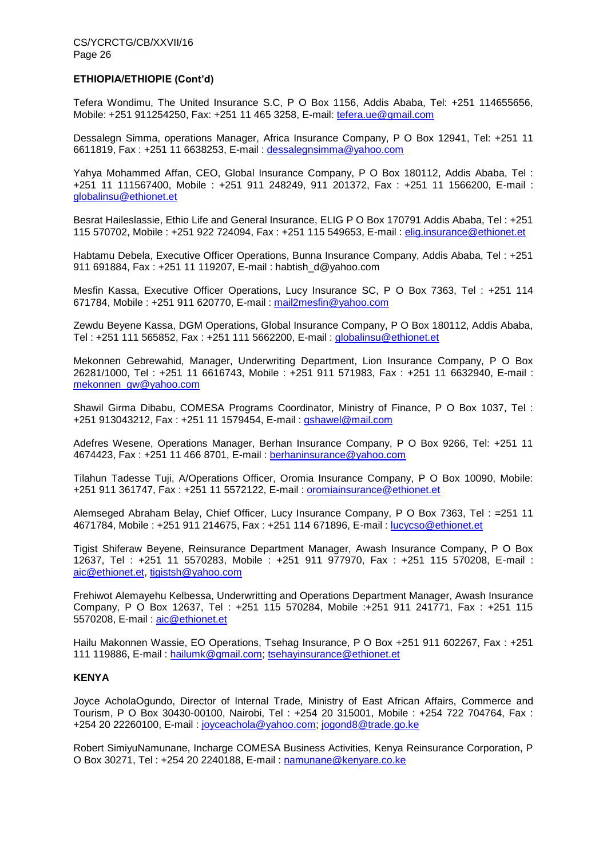## **ETHIOPIA/ETHIOPIE (Cont'd)**

Tefera Wondimu, The United Insurance S.C, P O Box 1156, Addis Ababa, Tel: +251 114655656, Mobile: +251 911254250, Fax: +251 11 465 3258, E-mail: [tefera.ue@gmail.com](mailto:tefera.ue@gmail.com)

Dessalegn Simma, operations Manager, Africa Insurance Company, P O Box 12941, Tel: +251 11 6611819, Fax : +251 11 6638253, E-mail : [dessalegnsimma@yahoo.com](mailto:dessalegnsimma@yahoo.com)

Yahya Mohammed Affan, CEO, Global Insurance Company, P O Box 180112, Addis Ababa, Tel : +251 11 111567400, Mobile : +251 911 248249, 911 201372, Fax : +251 11 1566200, E-mail : [globalinsu@ethionet.et](mailto:globalinsu@ethionet.et)

Besrat Haileslassie, Ethio Life and General Insurance, ELIG P O Box 170791 Addis Ababa, Tel : +251 115 570702, Mobile : +251 922 724094, Fax : +251 115 549653, E-mail : [elig.insurance@ethionet.et](mailto:elig.insurance@ethionet.et)

Habtamu Debela, Executive Officer Operations, Bunna Insurance Company, Addis Ababa, Tel : +251 911 691884, Fax : +251 11 119207, E-mail : habtish\_d@yahoo.com

Mesfin Kassa, Executive Officer Operations, Lucy Insurance SC, P O Box 7363, Tel : +251 114 671784, Mobile : +251 911 620770, E-mail : [mail2mesfin@yahoo.com](mailto:mail2mesfin@yahoo.com)

Zewdu Beyene Kassa, DGM Operations, Global Insurance Company, P O Box 180112, Addis Ababa, Tel : +251 111 565852, Fax : +251 111 5662200, E-mail : [globalinsu@ethionet.et](mailto:globalinsu@ethionet.et)

Mekonnen Gebrewahid, Manager, Underwriting Department, Lion Insurance Company, P O Box 26281/1000, Tel : +251 11 6616743, Mobile : +251 911 571983, Fax : +251 11 6632940, E-mail : [mekonnen\\_gw@yahoo.com](mailto:mekonnen_gw@yahoo.com)

Shawil Girma Dibabu, COMESA Programs Coordinator, Ministry of Finance, P O Box 1037, Tel : +251 913043212, Fax : +251 11 1579454, E-mail : [gshawel@mail.com](mailto:gshawel@mail.com)

Adefres Wesene, Operations Manager, Berhan Insurance Company, P O Box 9266, Tel: +251 11 4674423, Fax : +251 11 466 8701, E-mail : [berhaninsurance@yahoo.com](mailto:berhaninsurance@yahoo.com)

Tilahun Tadesse Tuji, A/Operations Officer, Oromia Insurance Company, P O Box 10090, Mobile: +251 911 361747, Fax : +251 11 5572122, E-mail : [oromiainsurance@ethionet.et](mailto:oromiainsurance@ethionet.et)

Alemseged Abraham Belay, Chief Officer, Lucy Insurance Company, P O Box 7363, Tel : =251 11 4671784, Mobile : +251 911 214675, Fax : +251 114 671896, E-mail : [lucycso@ethionet.et](mailto:lucycso@ethionet.et)

Tigist Shiferaw Beyene, Reinsurance Department Manager, Awash Insurance Company, P O Box 12637, Tel : +251 11 5570283, Mobile : +251 911 977970, Fax : +251 115 570208, E-mail : [aic@ethionet.et,](mailto:aic@ethionet.et) [tigistsh@yahoo.com](mailto:tigistsh@yahoo.com)

Frehiwot Alemayehu Kelbessa, Underwritting and Operations Department Manager, Awash Insurance Company, P O Box 12637, Tel : +251 115 570284, Mobile :+251 911 241771, Fax : +251 115 5570208, E-mail : [aic@ethionet.et](mailto:aic@ethionet.et)

Hailu Makonnen Wassie, EO Operations, Tsehag Insurance, P O Box +251 911 602267, Fax : +251 111 119886, E-mail : [hailumk@gmail.com;](mailto:hailumk@gmail.com) [tsehayinsurance@ethionet.et](mailto:tsehayinsurance@ethionet.et)

#### **KENYA**

Joyce AcholaOgundo, Director of Internal Trade, Ministry of East African Affairs, Commerce and Tourism, P O Box 30430-00100, Nairobi, Tel : +254 20 315001, Mobile : +254 722 704764, Fax : +254 20 22260100, E-mail : [joyceachola@yahoo.com;](mailto:joyceachola@yahoo.com) [jogond8@trade.go.ke](mailto:jogond8@trade.go.ke)

Robert SimiyuNamunane, Incharge COMESA Business Activities, Kenya Reinsurance Corporation, P O Box 30271, Tel : +254 20 2240188, E-mail : [namunane@kenyare.co.ke](mailto:namunane@kenyare.co.ke)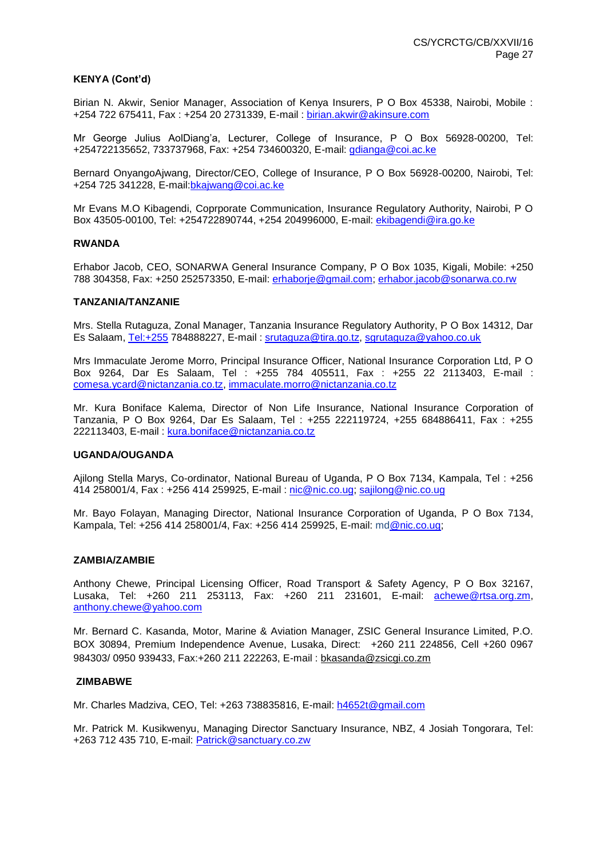#### **KENYA (Cont'd)**

Birian N. Akwir, Senior Manager, Association of Kenya Insurers, P O Box 45338, Nairobi, Mobile : +254 722 675411, Fax : +254 20 2731339, E-mail : [birian.akwir@akinsure.com](mailto:birian.akwir@akinsure.com)

Mr George Julius AolDiang'a, Lecturer, College of Insurance, P O Box 56928-00200, Tel: +254722135652, 733737968, Fax: +254 734600320, E-mail: [gdianga@coi.ac.ke](mailto:gdianga@coi.ac.ke)

Bernard OnyangoAjwang, Director/CEO, College of Insurance, P O Box 56928-00200, Nairobi, Tel: +254 725 341228, E-mail[:bkajwang@coi.ac.ke](mailto:bkajwang@coi.ac.ke)

Mr Evans M.O Kibagendi, Coprporate Communication, Insurance Regulatory Authority, Nairobi, P O Box 43505-00100, Tel: +254722890744, +254 204996000, E-mail: [ekibagendi@ira.go.ke](mailto:ekibagendi@ira.go.ke)

#### **RWANDA**

Erhabor Jacob, CEO, SONARWA General Insurance Company, P O Box 1035, Kigali, Mobile: +250 788 304358, Fax: +250 252573350, E-mail: [erhaborje@gmail.com;](mailto:erhaborje@gmail.com) [erhabor.jacob@sonarwa.co.rw](mailto:erhabor.jacob@sonarwa.co.rw)

#### **TANZANIA/TANZANIE**

Mrs. Stella Rutaguza, Zonal Manager, Tanzania Insurance Regulatory Authority, P O Box 14312, Dar Es Salaam, [Tel:+255](tel:+255) 784888227, E-mail : [srutaguza@tira.go.tz,](mailto:srutaguza@tira.go.tz) [sgrutaguza@yahoo.co.uk](mailto:sgrutaguza@yahoo.co.uk)

Mrs Immaculate Jerome Morro, Principal Insurance Officer, National Insurance Corporation Ltd, P O Box 9264, Dar Es Salaam, Tel : +255 784 405511, Fax : +255 22 2113403, E-mail : [comesa.ycard@nictanzania.co.tz,](mailto:comesa.ycard@nictanzania.co.tz) [immaculate.morro@nictanzania.co.tz](mailto:immaculate.morro@nictanzania.co.tz)

Mr. Kura Boniface Kalema, Director of Non Life Insurance, National Insurance Corporation of Tanzania, P O Box 9264, Dar Es Salaam, Tel : +255 222119724, +255 684886411, Fax : +255 222113403, E-mail : [kura.boniface@nictanzania.co.tz](mailto:kura.boniface@nictanzania.co.tz)

#### **UGANDA/OUGANDA**

Ajilong Stella Marys, Co-ordinator, National Bureau of Uganda, P O Box 7134, Kampala, Tel : +256 414 258001/4, Fax : +256 414 259925, E-mail : [nic@nic.co.ug;](mailto:nic@nic.co.ug) [sajilong@nic.co.ug](mailto:sajilong@nic.co.ug)

Mr. Bayo Folayan, Managing Director, National Insurance Corporation of Uganda, P O Box 7134, Kampala, Tel: +256 414 258001/4, Fax: +256 414 259925, E-mail: m[d@nic.co.ug;](mailto:@nic.co.ug)

#### **ZAMBIA/ZAMBIE**

Anthony Chewe, Principal Licensing Officer, Road Transport & Safety Agency, P O Box 32167, Lusaka, Tel: +260 211 253113, Fax: +260 211 231601, E-mail: [achewe@rtsa.org.zm,](mailto:achewe@rtsa.org.zm) [anthony.chewe@yahoo.com](mailto:anthony.chewe@yahoo.com)

Mr. Bernard C. Kasanda, Motor, Marine & Aviation Manager, ZSIC General Insurance Limited, P.O. BOX 30894, Premium Independence Avenue, Lusaka, Direct: +260 211 224856, Cell +260 0967 984303/ 0950 939433, Fax:+260 211 222263, E-mail : [bkasanda@zsicgi.co.zm](mailto:bkasanda@zsicgi.co.zm)

#### **ZIMBABWE**

Mr. Charles Madziva, CEO, Tel: +263 738835816, E-mail: [h4652t@gmail.com](mailto:h4652t@gmail.com)

Mr. Patrick M. Kusikwenyu, Managing Director Sanctuary Insurance, NBZ, 4 Josiah Tongorara, Tel: +263 712 435 710, E-mail: [Patrick@sanctuary.co.zw](mailto:Patrick@sanctuary.co.zw)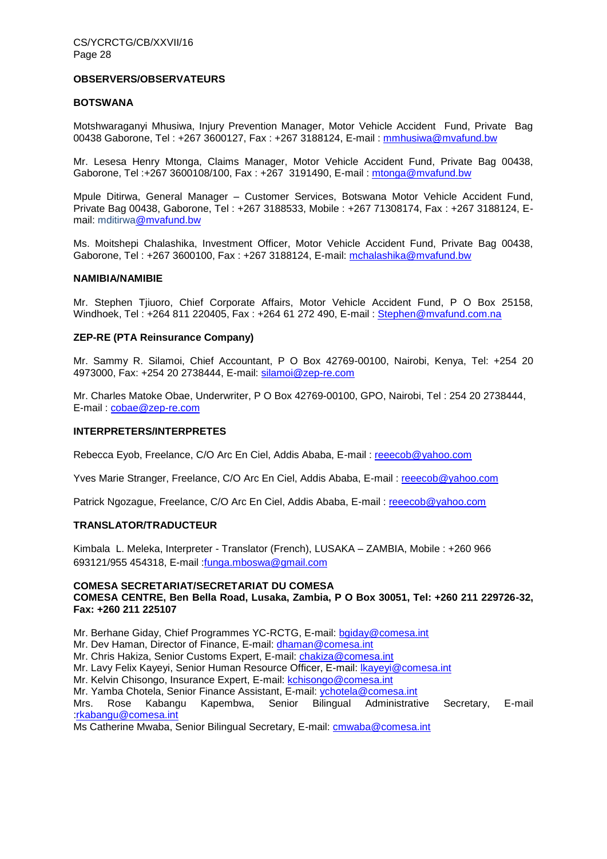#### **OBSERVERS/OBSERVATEURS**

#### **BOTSWANA**

Motshwaraganyi Mhusiwa, Injury Prevention Manager, Motor Vehicle Accident Fund, Private Bag 00438 Gaborone, Tel : +267 3600127, Fax : +267 3188124, E-mail : [mmhusiwa@mvafund.bw](mailto:mmhusiwa@mvafund.bw)

Mr. Lesesa Henry Mtonga, Claims Manager, Motor Vehicle Accident Fund, Private Bag 00438, Gaborone, Tel :+267 3600108/100, Fax : +267 3191490, E-mail : [mtonga@mvafund.bw](mailto:mtonga@mvafund.bw)

Mpule Ditirwa, General Manager – Customer Services, Botswana Motor Vehicle Accident Fund, Private Bag 00438, Gaborone, Tel : +267 3188533, Mobile : +267 71308174, Fax : +267 3188124, Email: mditirw[a@mvafund.bw](mailto:oogotseng@mvafund.bw)

Ms. Moitshepi Chalashika, Investment Officer, Motor Vehicle Accident Fund, Private Bag 00438, Gaborone, Tel : +267 3600100, Fax : +267 3188124, E-mail: [mchalashika@mvafund.bw](mailto:mchalashika@mvafund.bw)

#### **NAMIBIA/NAMIBIE**

Mr. Stephen Tjiuoro, Chief Corporate Affairs, Motor Vehicle Accident Fund, P O Box 25158, Windhoek, Tel: +264 811 220405, Fax: +264 61 272 490, E-mail: [Stephen@mvafund.com.na](mailto:Stephen@mvafund.com.na)

#### **ZEP-RE (PTA Reinsurance Company)**

Mr. Sammy R. Silamoi, Chief Accountant, P O Box 42769-00100, Nairobi, Kenya, Tel: +254 20 4973000, Fax: +254 20 2738444, E-mail: [silamoi@zep-re.com](mailto:silamoi@zep-re.com)

Mr. Charles Matoke Obae, Underwriter, P O Box 42769-00100, GPO, Nairobi, Tel : 254 20 2738444, E-mail : [cobae@zep-re.com](mailto:cobae@zep-re.com)

#### **INTERPRETERS/INTERPRETES**

Rebecca Eyob, Freelance, C/O Arc En Ciel, Addis Ababa, E-mail : [reeecob@yahoo.com](mailto:reeecob@yahoo.com)

Yves Marie Stranger, Freelance, C/O Arc En Ciel, Addis Ababa, E-mail : [reeecob@yahoo.com](mailto:reeecob@yahoo.com)

Patrick Ngozague, Freelance, C/O Arc En Ciel, Addis Ababa, E-mail : [reeecob@yahoo.com](mailto:reeecob@yahoo.com)

#### **TRANSLATOR/TRADUCTEUR**

Kimbala L. Meleka, Interpreter - Translator (French), LUSAKA – ZAMBIA, Mobile : +260 966 693121/955 454318, E-mail [:funga.mboswa@gmail.com](mailto:funga.mboswa@gmail.com)

#### **COMESA SECRETARIAT/SECRETARIAT DU COMESA COMESA CENTRE, Ben Bella Road, Lusaka, Zambia, P O Box 30051, Tel: +260 211 229726-32, Fax: +260 211 225107**

Mr. Berhane Giday, Chief Programmes YC-RCTG, E-mail: [bgiday@comesa.int](mailto:bgiday@comesa.int)

Mr. Dev Haman, Director of Finance, E-mail: [dhaman@comesa.int](mailto:dhaman@comesa.int)

Mr. Chris Hakiza, Senior Customs Expert, E-mail: [chakiza@comesa.int](mailto:chakiza@comesa.int)

Mr. Lavy Felix Kayeyi, Senior Human Resource Officer, E-mail: Ikayeyi@comesa.int

Mr. Kelvin Chisongo, Insurance Expert, E-mail: [kchisongo@comesa.int](mailto:kchisongo@comesa.int)

Mr. Yamba Chotela, Senior Finance Assistant, E-mail: [ychotela@comesa.int](mailto:ychotela@comesa.int)

Mrs. Rose Kabangu Kapembwa, Senior Bilingual Administrative Secretary, E-mail [:rkabangu@comesa.int](mailto:rkabangu@comesa.int)

Ms Catherine Mwaba, Senior Bilingual Secretary, E-mail: [cmwaba@comesa.int](mailto:cmwaba@comesa.int)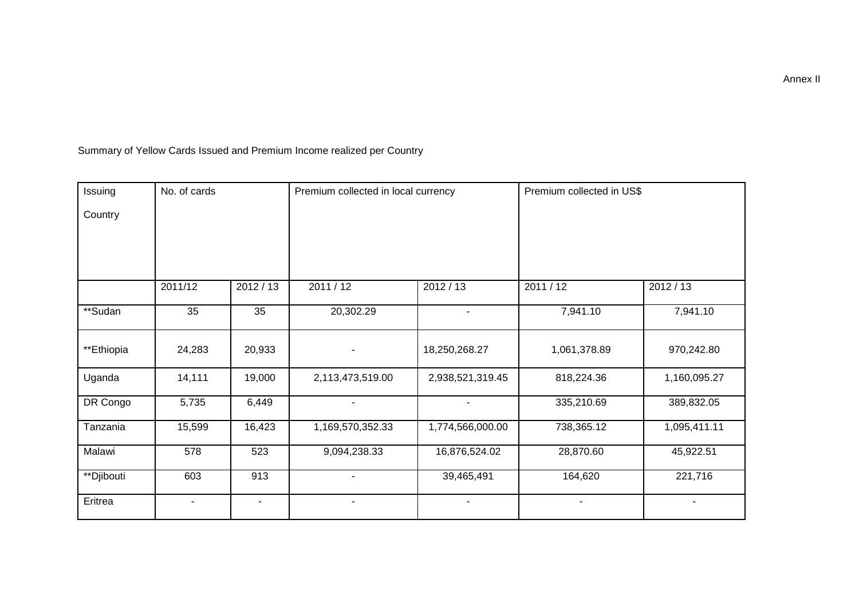Summary of Yellow Cards Issued and Premium Income realized per Country

| Issuing    | No. of cards             |           | Premium collected in local currency |                  | Premium collected in US\$ |                |
|------------|--------------------------|-----------|-------------------------------------|------------------|---------------------------|----------------|
| Country    |                          |           |                                     |                  |                           |                |
|            |                          |           |                                     |                  |                           |                |
|            |                          |           |                                     |                  |                           |                |
|            | 2011/12                  | 2012 / 13 | 2011 / 12                           | 2012/13          | 2011/12                   | 2012/13        |
| **Sudan    | 35                       | 35        | 20,302.29                           | $\blacksquare$   | 7,941.10                  | 7,941.10       |
| **Ethiopia | 24,283                   | 20,933    |                                     | 18,250,268.27    | 1,061,378.89              | 970,242.80     |
| Uganda     | 14,111                   | 19,000    | 2,113,473,519.00                    | 2,938,521,319.45 | 818,224.36                | 1,160,095.27   |
| DR Congo   | 5,735                    | 6,449     | $\blacksquare$                      | $\blacksquare$   | 335,210.69                | 389,832.05     |
| Tanzania   | 15,599                   | 16,423    | 1,169,570,352.33                    | 1,774,566,000.00 | 738,365.12                | 1,095,411.11   |
| Malawi     | 578                      | 523       | 9,094,238.33                        | 16,876,524.02    | 28,870.60                 | 45,922.51      |
| **Djibouti | 603                      | 913       |                                     | 39,465,491       | 164,620                   | 221,716        |
| Eritrea    | $\overline{\phantom{a}}$ | ٠         | $\blacksquare$                      | ۰.               | ٠                         | $\blacksquare$ |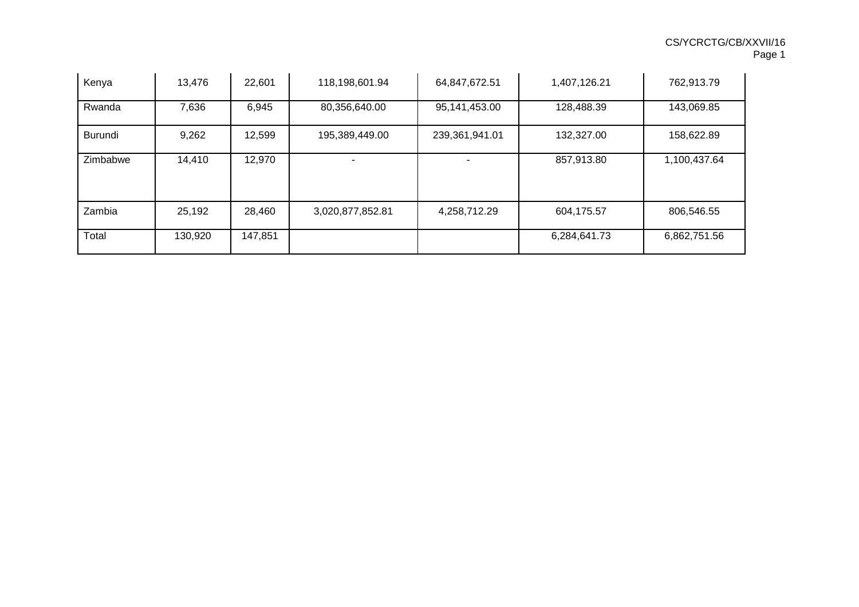| Kenya    | 13,476  | 22,601  | 118,198,601.94   | 64,847,672.51  | 1,407,126.21 | 762,913.79   |
|----------|---------|---------|------------------|----------------|--------------|--------------|
| Rwanda   | 7,636   | 6,945   | 80,356,640.00    | 95,141,453.00  | 128,488.39   | 143,069.85   |
| Burundi  | 9,262   | 12,599  | 195,389,449.00   | 239,361,941.01 | 132,327.00   | 158,622.89   |
| Zimbabwe | 14,410  | 12,970  |                  |                | 857,913.80   | 1,100,437.64 |
| Zambia   | 25,192  | 28,460  | 3,020,877,852.81 | 4,258,712.29   | 604,175.57   | 806,546.55   |
| Total    | 130,920 | 147,851 |                  |                | 6,284,641.73 | 6,862,751.56 |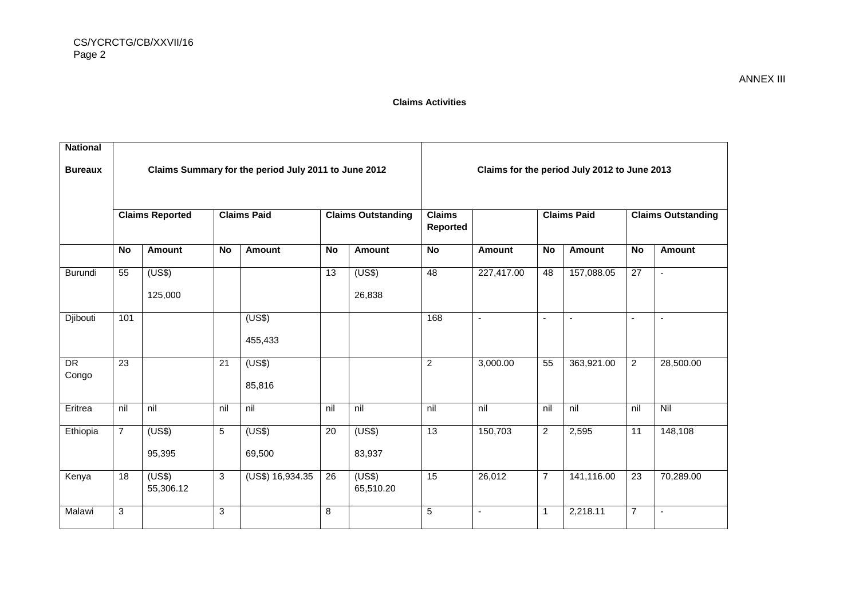| <b>National</b> |                                                      |                        |                 |                    |                                              |                           |                           |                |                |                    |                 |                           |
|-----------------|------------------------------------------------------|------------------------|-----------------|--------------------|----------------------------------------------|---------------------------|---------------------------|----------------|----------------|--------------------|-----------------|---------------------------|
| <b>Bureaux</b>  | Claims Summary for the period July 2011 to June 2012 |                        |                 |                    | Claims for the period July 2012 to June 2013 |                           |                           |                |                |                    |                 |                           |
|                 |                                                      | <b>Claims Reported</b> |                 | <b>Claims Paid</b> |                                              | <b>Claims Outstanding</b> | <b>Claims</b><br>Reported |                |                | <b>Claims Paid</b> |                 | <b>Claims Outstanding</b> |
|                 | <b>No</b>                                            | <b>Amount</b>          | <b>No</b>       | <b>Amount</b>      | <b>No</b>                                    | Amount                    | <b>No</b>                 | Amount         | <b>No</b>      | Amount             | <b>No</b>       | <b>Amount</b>             |
| Burundi         | 55                                                   | (US\$)                 |                 |                    | 13                                           | (US\$)                    | $\overline{48}$           | 227,417.00     | 48             | 157,088.05         | $\overline{27}$ | $\blacksquare$            |
|                 |                                                      | 125,000                |                 |                    |                                              | 26,838                    |                           |                |                |                    |                 |                           |
| Djibouti        | 101                                                  |                        |                 | (US\$)             |                                              |                           | 168                       | $\blacksquare$ | $\blacksquare$ | $\blacksquare$     | $\blacksquare$  | $\overline{\phantom{a}}$  |
|                 |                                                      |                        |                 | 455,433            |                                              |                           |                           |                |                |                    |                 |                           |
| DR              | $\overline{23}$                                      |                        | $\overline{21}$ | (US\$)             |                                              |                           | $\overline{2}$            | 3,000.00       | 55             | 363,921.00         | $\overline{2}$  | 28,500.00                 |
| Congo           |                                                      |                        |                 | 85,816             |                                              |                           |                           |                |                |                    |                 |                           |
| Eritrea         | nil                                                  | nil                    | nil             | nil                | nil                                          | nil                       | nil                       | nil            | nil            | nil                | nil             | $\overline{N}$            |
| Ethiopia        | $\overline{7}$                                       | (US\$)                 | 5               | (US\$)             | 20                                           | (US\$)                    | $\overline{13}$           | 150,703        | $\mathbf{2}$   | 2,595              | 11              | 148,108                   |
|                 |                                                      | 95,395                 |                 | 69,500             |                                              | 83,937                    |                           |                |                |                    |                 |                           |
| Kenya           | 18                                                   | (US\$)<br>55,306.12    | 3               | (US\$) 16,934.35   | 26                                           | (US\$)<br>65,510.20       | 15                        | 26,012         | $\overline{7}$ | 141,116.00         | $\overline{23}$ | 70,289.00                 |
| Malawi          | 3                                                    |                        | 3               |                    | 8                                            |                           | $\overline{5}$            | $\blacksquare$ | $\mathbf{1}$   | 2,218.11           | $\overline{7}$  | $\overline{\phantom{a}}$  |

ANNEX III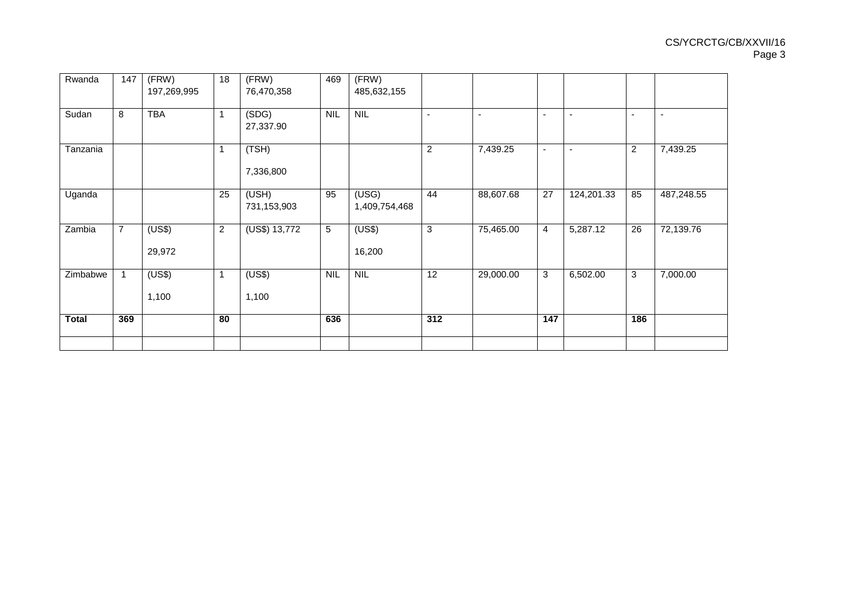| Rwanda       | 147            | (FRW)            | 18             | (FRW)                | 469        | (FRW)                  |                 |                          |                          |                |                          |                |
|--------------|----------------|------------------|----------------|----------------------|------------|------------------------|-----------------|--------------------------|--------------------------|----------------|--------------------------|----------------|
|              |                | 197,269,995      |                | 76,470,358           |            | 485,632,155            |                 |                          |                          |                |                          |                |
| Sudan        | 8              | <b>TBA</b>       | 1              | (SDG)<br>27,337.90   | <b>NIL</b> | <b>NIL</b>             | $\blacksquare$  | $\overline{\phantom{a}}$ | $\sim$                   | $\blacksquare$ | $\overline{\phantom{0}}$ | $\blacksquare$ |
| Tanzania     |                |                  | 1              | (TSH)<br>7,336,800   |            |                        | $\overline{c}$  | 7,439.25                 | $\overline{\phantom{a}}$ |                | 2                        | 7,439.25       |
| Uganda       |                |                  | 25             | (USH)<br>731,153,903 | 95         | (USG)<br>1,409,754,468 | 44              | 88,607.68                | 27                       | 124,201.33     | 85                       | 487,248.55     |
| Zambia       | $\overline{7}$ | (US\$)<br>29,972 | $\overline{c}$ | (US\$) 13,772        | 5          | (US\$)<br>16,200       | 3               | 75,465.00                | $\overline{4}$           | 5,287.12       | 26                       | 72,139.76      |
| Zimbabwe     |                | (US\$)<br>1,100  | $\mathbf{1}$   | (US\$)<br>1,100      | NIL        | NIL                    | $\overline{12}$ | 29,000.00                | $\mathbf{3}$             | 6,502.00       | 3                        | 7,000.00       |
| <b>Total</b> | 369            |                  | 80             |                      | 636        |                        | 312             |                          | 147                      |                | 186                      |                |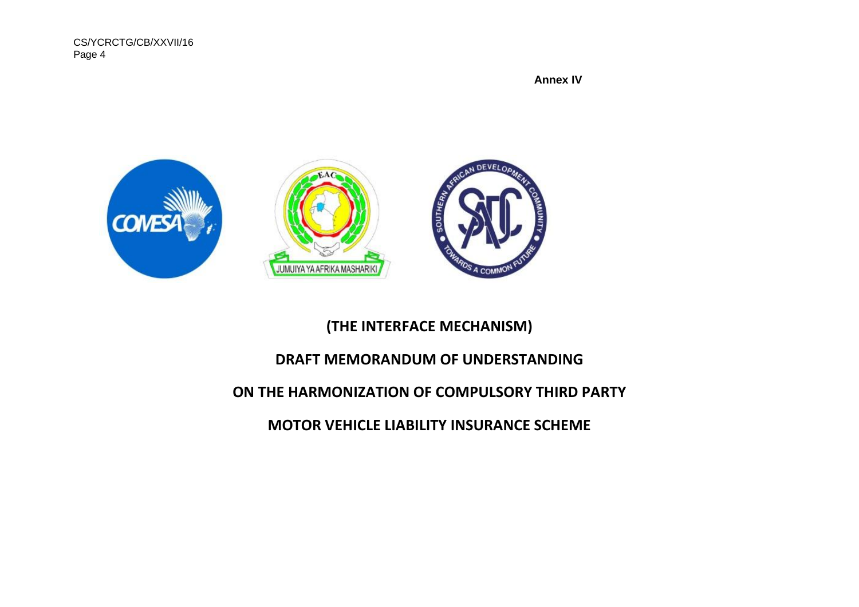CS/YCRCTG/CB/XXVII/16 Page 4

 **Annex IV**



# **(THE INTERFACE MECHANISM)**

# **DRAFT MEMORANDUM OF UNDERSTANDING**

# **ON THE HARMONIZATION OF COMPULSORY THIRD PARTY**

**MOTOR VEHICLE LIABILITY INSURANCE SCHEME**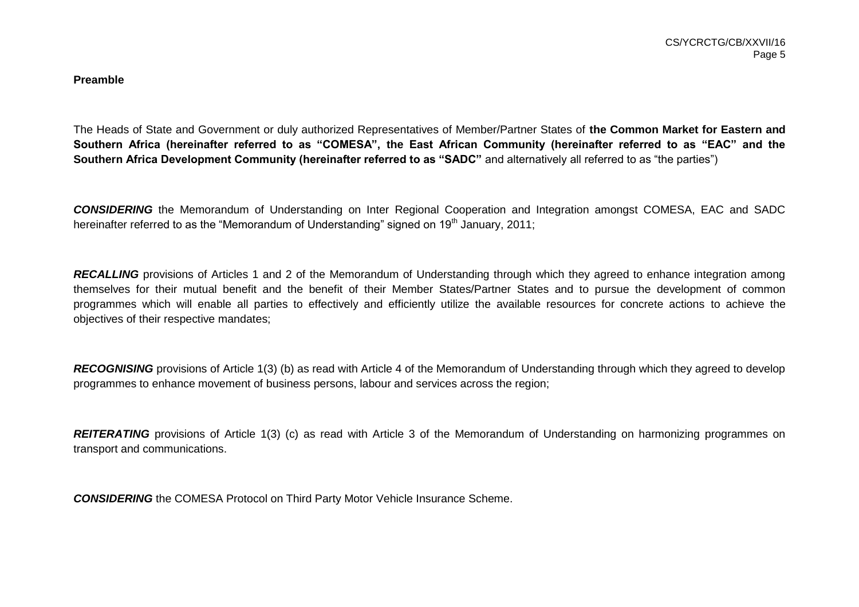#### **Preamble**

The Heads of State and Government or duly authorized Representatives of Member/Partner States of **the Common Market for Eastern and Southern Africa (hereinafter referred to as "COMESA", the East African Community (hereinafter referred to as "EAC" and the Southern Africa Development Community (hereinafter referred to as "SADC"** and alternatively all referred to as "the parties")

*CONSIDERING* the Memorandum of Understanding on Inter Regional Cooperation and Integration amongst COMESA, EAC and SADC hereinafter referred to as the "Memorandum of Understanding" signed on 19<sup>th</sup> January, 2011;

**RECALLING** provisions of Articles 1 and 2 of the Memorandum of Understanding through which they agreed to enhance integration among themselves for their mutual benefit and the benefit of their Member States/Partner States and to pursue the development of common programmes which will enable all parties to effectively and efficiently utilize the available resources for concrete actions to achieve the objectives of their respective mandates;

*RECOGNISING* provisions of Article 1(3) (b) as read with Article 4 of the Memorandum of Understanding through which they agreed to develop programmes to enhance movement of business persons, labour and services across the region;

**REITERATING** provisions of Article 1(3) (c) as read with Article 3 of the Memorandum of Understanding on harmonizing programmes on transport and communications.

*CONSIDERING* the COMESA Protocol on Third Party Motor Vehicle Insurance Scheme.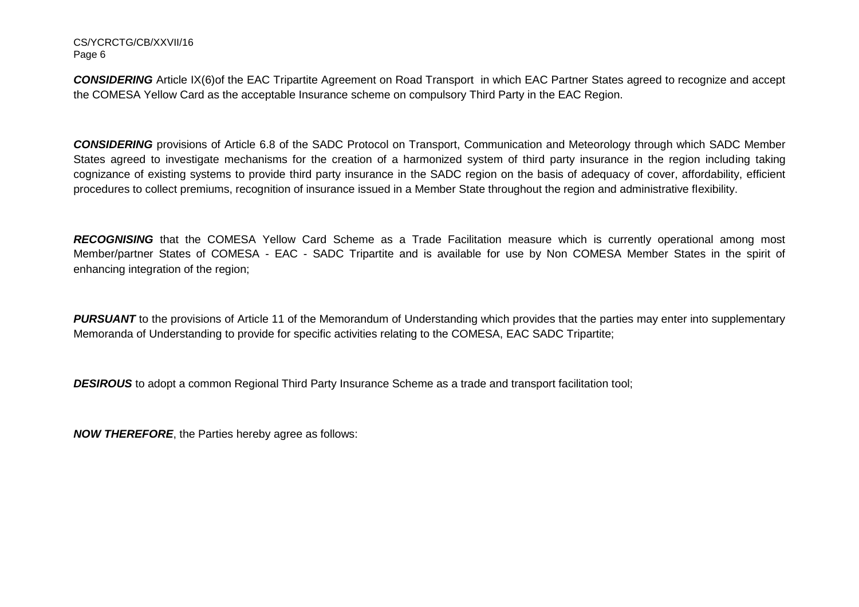#### CS/YCRCTG/CB/XXVII/16 Page 6

*CONSIDERING* Article IX(6)of the EAC Tripartite Agreement on Road Transport in which EAC Partner States agreed to recognize and accept the COMESA Yellow Card as the acceptable Insurance scheme on compulsory Third Party in the EAC Region.

*CONSIDERING* provisions of Article 6.8 of the SADC Protocol on Transport, Communication and Meteorology through which SADC Member States agreed to investigate mechanisms for the creation of a harmonized system of third party insurance in the region including taking cognizance of existing systems to provide third party insurance in the SADC region on the basis of adequacy of cover, affordability, efficient procedures to collect premiums, recognition of insurance issued in a Member State throughout the region and administrative flexibility.

*RECOGNISING* that the COMESA Yellow Card Scheme as a Trade Facilitation measure which is currently operational among most Member/partner States of COMESA - EAC - SADC Tripartite and is available for use by Non COMESA Member States in the spirit of enhancing integration of the region;

**PURSUANT** to the provisions of Article 11 of the Memorandum of Understanding which provides that the parties may enter into supplementary Memoranda of Understanding to provide for specific activities relating to the COMESA, EAC SADC Tripartite;

**DESIROUS** to adopt a common Regional Third Party Insurance Scheme as a trade and transport facilitation tool:

*NOW THEREFORE*, the Parties hereby agree as follows: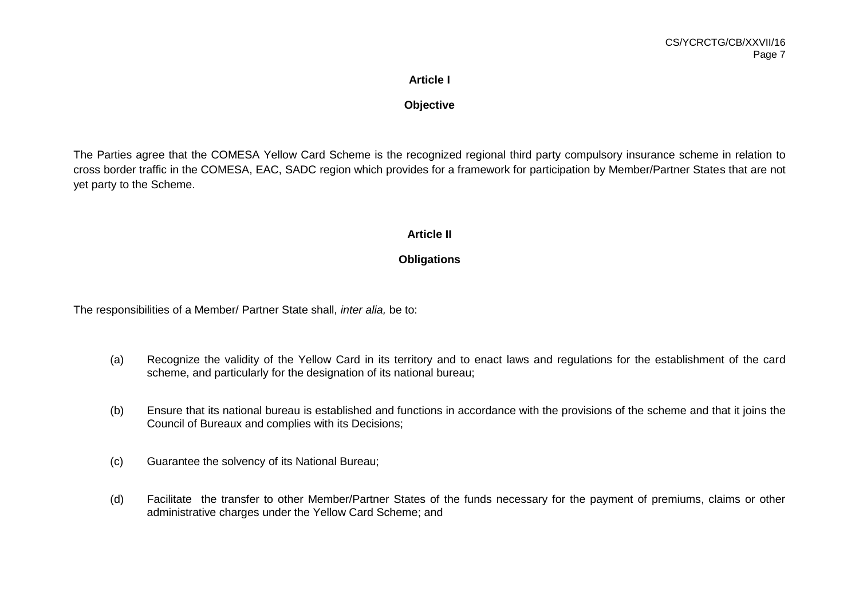# **Article I**

# **Objective**

The Parties agree that the COMESA Yellow Card Scheme is the recognized regional third party compulsory insurance scheme in relation to cross border traffic in the COMESA, EAC, SADC region which provides for a framework for participation by Member/Partner States that are not yet party to the Scheme.

## **Article II**

# **Obligations**

The responsibilities of a Member/ Partner State shall, *inter alia,* be to:

- (a) Recognize the validity of the Yellow Card in its territory and to enact laws and regulations for the establishment of the card scheme, and particularly for the designation of its national bureau;
- (b) Ensure that its national bureau is established and functions in accordance with the provisions of the scheme and that it joins the Council of Bureaux and complies with its Decisions;
- (c) Guarantee the solvency of its National Bureau;
- (d) Facilitate the transfer to other Member/Partner States of the funds necessary for the payment of premiums, claims or other administrative charges under the Yellow Card Scheme; and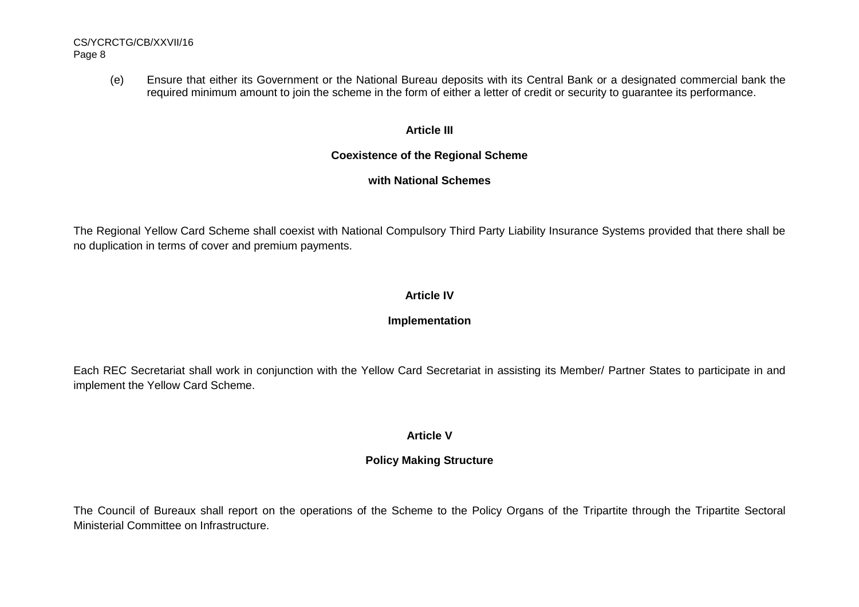(e) Ensure that either its Government or the National Bureau deposits with its Central Bank or a designated commercial bank the required minimum amount to join the scheme in the form of either a letter of credit or security to guarantee its performance.

# **Article III**

# **Coexistence of the Regional Scheme**

# **with National Schemes**

The Regional Yellow Card Scheme shall coexist with National Compulsory Third Party Liability Insurance Systems provided that there shall be no duplication in terms of cover and premium payments.

# **Article IV**

# **Implementation**

Each REC Secretariat shall work in conjunction with the Yellow Card Secretariat in assisting its Member/ Partner States to participate in and implement the Yellow Card Scheme.

# **Article V**

# **Policy Making Structure**

The Council of Bureaux shall report on the operations of the Scheme to the Policy Organs of the Tripartite through the Tripartite Sectoral Ministerial Committee on Infrastructure.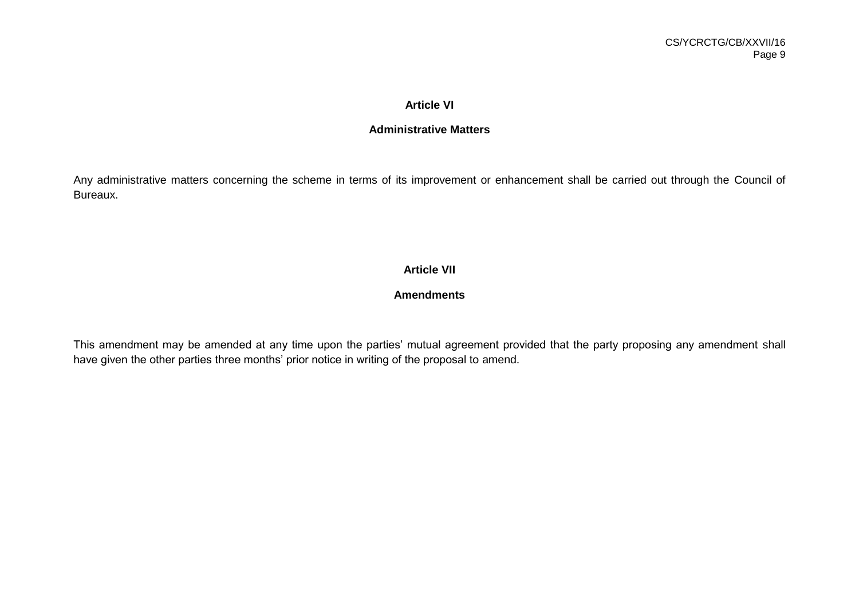## **Article VI**

## **Administrative Matters**

Any administrative matters concerning the scheme in terms of its improvement or enhancement shall be carried out through the Council of Bureaux.

# **Article VII**

# **Amendments**

This amendment may be amended at any time upon the parties' mutual agreement provided that the party proposing any amendment shall have given the other parties three months' prior notice in writing of the proposal to amend.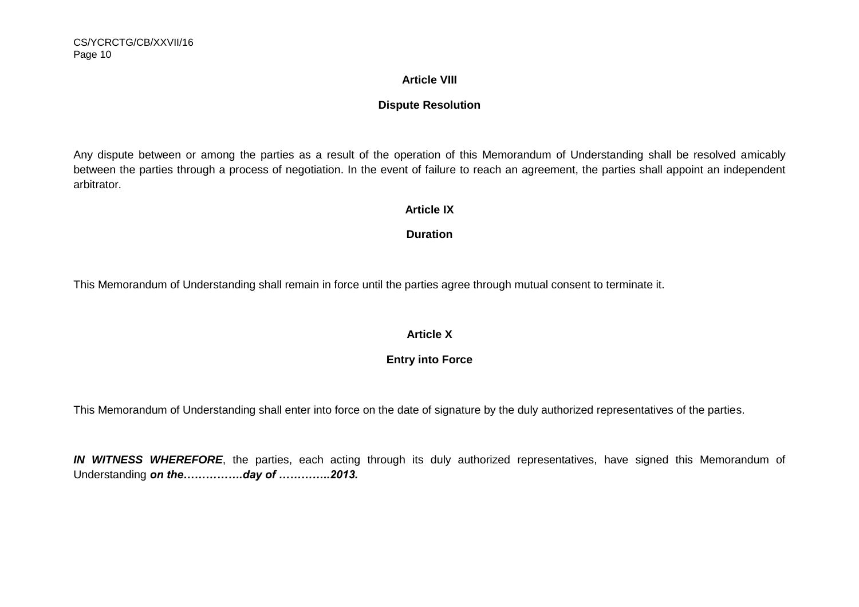## **Article VIII**

# **Dispute Resolution**

Any dispute between or among the parties as a result of the operation of this Memorandum of Understanding shall be resolved amicably between the parties through a process of negotiation. In the event of failure to reach an agreement, the parties shall appoint an independent arbitrator.

# **Article IX**

## **Duration**

This Memorandum of Understanding shall remain in force until the parties agree through mutual consent to terminate it.

## **Article X**

# **Entry into Force**

This Memorandum of Understanding shall enter into force on the date of signature by the duly authorized representatives of the parties.

*IN WITNESS WHEREFORE*, the parties, each acting through its duly authorized representatives, have signed this Memorandum of Understanding *on the…………….day of …………..2013.*